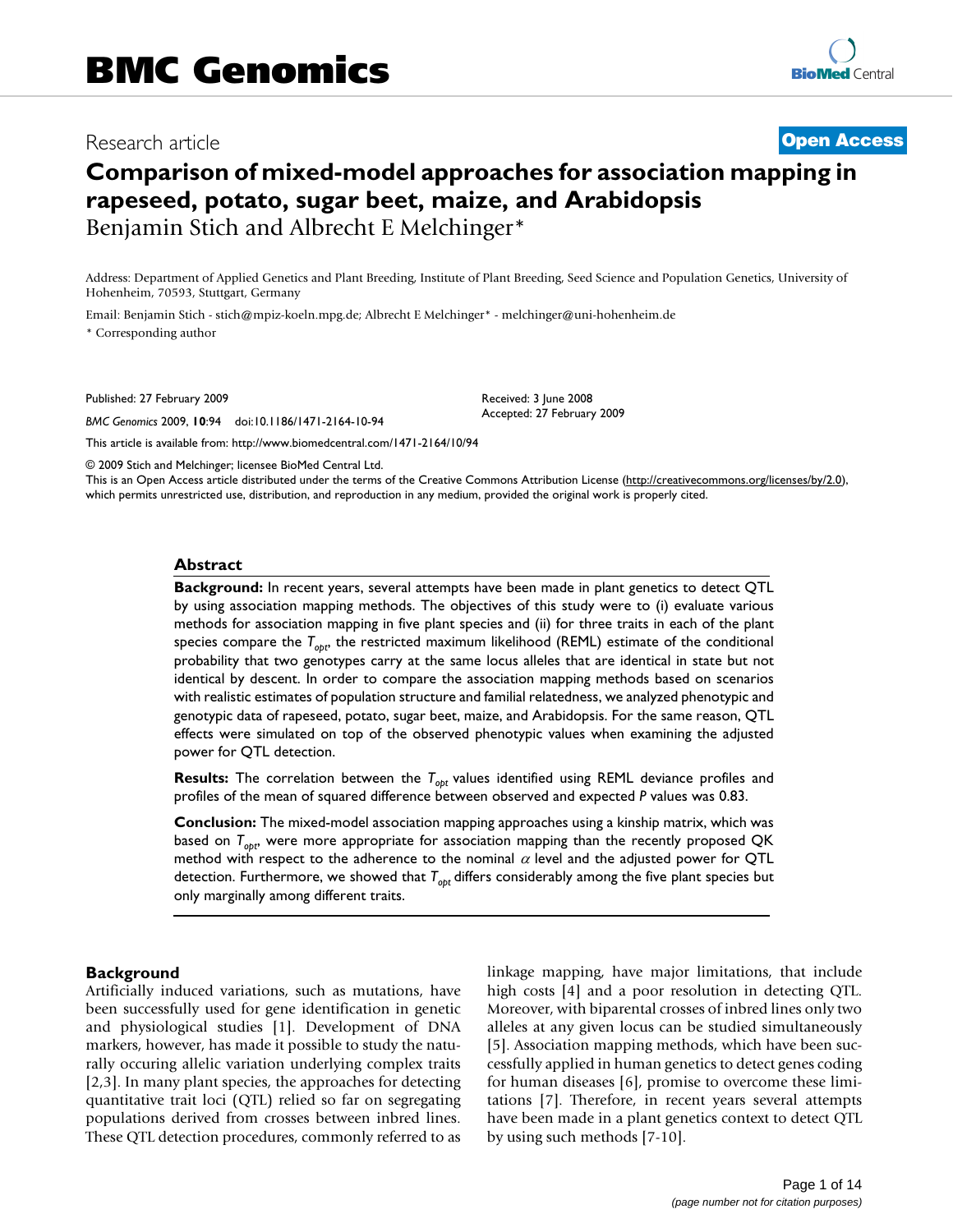# Research article **[Open Access](http://www.biomedcentral.com/info/about/charter/)**

# **Comparison of mixed-model approaches for association mapping in rapeseed, potato, sugar beet, maize, and Arabidopsis** Benjamin Stich and Albrecht E Melchinger\*

Address: Department of Applied Genetics and Plant Breeding, Institute of Plant Breeding, Seed Science and Population Genetics, University of Hohenheim, 70593, Stuttgart, Germany

Email: Benjamin Stich - stich@mpiz-koeln.mpg.de; Albrecht E Melchinger\* - melchinger@uni-hohenheim.de

\* Corresponding author

Published: 27 February 2009

*BMC Genomics* 2009, **10**:94 doi:10.1186/1471-2164-10-94

[This article is available from: http://www.biomedcentral.com/1471-2164/10/94](http://www.biomedcentral.com/1471-2164/10/94)

© 2009 Stich and Melchinger; licensee BioMed Central Ltd.

This is an Open Access article distributed under the terms of the Creative Commons Attribution License [\(http://creativecommons.org/licenses/by/2.0\)](http://creativecommons.org/licenses/by/2.0), which permits unrestricted use, distribution, and reproduction in any medium, provided the original work is properly cited.

Received: 3 June 2008 Accepted: 27 February 2009

#### **Abstract**

**Background:** In recent years, several attempts have been made in plant genetics to detect QTL by using association mapping methods. The objectives of this study were to (i) evaluate various methods for association mapping in five plant species and (ii) for three traits in each of the plant species compare the *Topt*, the restricted maximum likelihood (REML) estimate of the conditional probability that two genotypes carry at the same locus alleles that are identical in state but not identical by descent. In order to compare the association mapping methods based on scenarios with realistic estimates of population structure and familial relatedness, we analyzed phenotypic and genotypic data of rapeseed, potato, sugar beet, maize, and Arabidopsis. For the same reason, QTL effects were simulated on top of the observed phenotypic values when examining the adjusted power for QTL detection.

**Results:** The correlation between the  $T_{opt}$  values identified using REML deviance profiles and profiles of the mean of squared difference between observed and expected *P* values was 0.83.

**Conclusion:** The mixed-model association mapping approaches using a kinship matrix, which was based on *Topt*, were more appropriate for association mapping than the recently proposed QK method with respect to the adherence to the nominal  $\alpha$  level and the adjusted power for QTL detection. Furthermore, we showed that *Topt* differs considerably among the five plant species but only marginally among different traits.

#### **Background**

Artificially induced variations, such as mutations, have been successfully used for gene identification in genetic and physiological studies [1]. Development of DNA markers, however, has made it possible to study the naturally occuring allelic variation underlying complex traits [2,3]. In many plant species, the approaches for detecting quantitative trait loci (QTL) relied so far on segregating populations derived from crosses between inbred lines. These QTL detection procedures, commonly referred to as linkage mapping, have major limitations, that include high costs [4] and a poor resolution in detecting QTL. Moreover, with biparental crosses of inbred lines only two alleles at any given locus can be studied simultaneously [5]. Association mapping methods, which have been successfully applied in human genetics to detect genes coding for human diseases [6], promise to overcome these limitations [7]. Therefore, in recent years several attempts have been made in a plant genetics context to detect QTL by using such methods [7-10].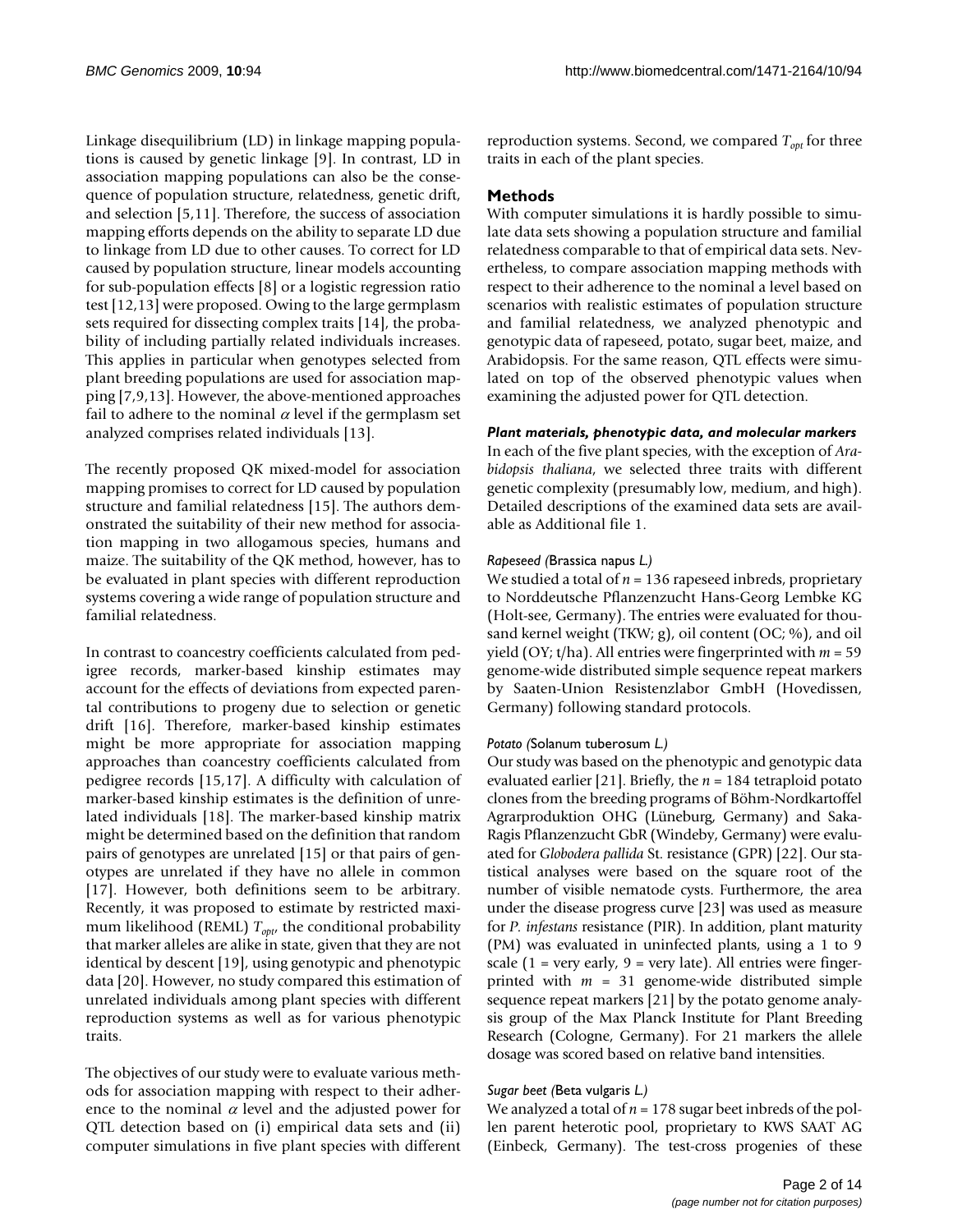Linkage disequilibrium (LD) in linkage mapping populations is caused by genetic linkage [9]. In contrast, LD in association mapping populations can also be the consequence of population structure, relatedness, genetic drift, and selection [5,11]. Therefore, the success of association mapping efforts depends on the ability to separate LD due to linkage from LD due to other causes. To correct for LD caused by population structure, linear models accounting for sub-population effects [8] or a logistic regression ratio test [12,13] were proposed. Owing to the large germplasm sets required for dissecting complex traits [14], the probability of including partially related individuals increases. This applies in particular when genotypes selected from plant breeding populations are used for association mapping [7,9,13]. However, the above-mentioned approaches fail to adhere to the nominal  $\alpha$  level if the germplasm set analyzed comprises related individuals [13].

The recently proposed QK mixed-model for association mapping promises to correct for LD caused by population structure and familial relatedness [15]. The authors demonstrated the suitability of their new method for association mapping in two allogamous species, humans and maize. The suitability of the QK method, however, has to be evaluated in plant species with different reproduction systems covering a wide range of population structure and familial relatedness.

In contrast to coancestry coefficients calculated from pedigree records, marker-based kinship estimates may account for the effects of deviations from expected parental contributions to progeny due to selection or genetic drift [16]. Therefore, marker-based kinship estimates might be more appropriate for association mapping approaches than coancestry coefficients calculated from pedigree records [15,17]. A difficulty with calculation of marker-based kinship estimates is the definition of unrelated individuals [18]. The marker-based kinship matrix might be determined based on the definition that random pairs of genotypes are unrelated [15] or that pairs of genotypes are unrelated if they have no allele in common [17]. However, both definitions seem to be arbitrary. Recently, it was proposed to estimate by restricted maximum likelihood (REML)  $T_{op\ell}$  the conditional probability that marker alleles are alike in state, given that they are not identical by descent [19], using genotypic and phenotypic data [20]. However, no study compared this estimation of unrelated individuals among plant species with different reproduction systems as well as for various phenotypic traits.

The objectives of our study were to evaluate various methods for association mapping with respect to their adherence to the nominal  $\alpha$  level and the adjusted power for QTL detection based on (i) empirical data sets and (ii) computer simulations in five plant species with different reproduction systems. Second, we compared  $T_{\text{opt}}$  for three traits in each of the plant species.

### **Methods**

With computer simulations it is hardly possible to simulate data sets showing a population structure and familial relatedness comparable to that of empirical data sets. Nevertheless, to compare association mapping methods with respect to their adherence to the nominal a level based on scenarios with realistic estimates of population structure and familial relatedness, we analyzed phenotypic and genotypic data of rapeseed, potato, sugar beet, maize, and Arabidopsis. For the same reason, QTL effects were simulated on top of the observed phenotypic values when examining the adjusted power for QTL detection.

### *Plant materials, phenotypic data, and molecular markers*

In each of the five plant species, with the exception of *Arabidopsis thaliana*, we selected three traits with different genetic complexity (presumably low, medium, and high). Detailed descriptions of the examined data sets are available as Additional file 1.

#### *Rapeseed (*Brassica napus *L.)*

We studied a total of  $n = 136$  rapeseed inbreds, proprietary to Norddeutsche Pflanzenzucht Hans-Georg Lembke KG (Holt-see, Germany). The entries were evaluated for thousand kernel weight (TKW; g), oil content (OC;  $\%$ ), and oil yield (OY; t/ha). All entries were fingerprinted with *m* = 59 genome-wide distributed simple sequence repeat markers by Saaten-Union Resistenzlabor GmbH (Hovedissen, Germany) following standard protocols.

#### *Potato (*Solanum tuberosum *L.)*

Our study was based on the phenotypic and genotypic data evaluated earlier [[21\]](#page-12-0). Briefly, the *n* = 184 tetraploid potato clones from the breeding programs of Böhm-Nordkartoffel Agrarproduktion OHG (Lüneburg, Germany) and Saka-Ragis Pflanzenzucht GbR (Windeby, Germany) were evaluated for *Globodera pallida* St. resistance (GPR) [22]. Our statistical analyses were based on the square root of the number of visible nematode cysts. Furthermore, the area under the disease progress curve [23] was used as measure for *P. infestans* resistance (PIR). In addition, plant maturity (PM) was evaluated in uninfected plants, using a 1 to 9 scale  $(1 = \text{very early}, 9 = \text{very late})$ . All entries were fingerprinted with *m* = 31 genome-wide distributed simple sequence repeat markers [\[21](#page-12-0)] by the potato genome analysis group of the Max Planck Institute for Plant Breeding Research (Cologne, Germany). For 21 markers the allele dosage was scored based on relative band intensities.

#### *Sugar beet (*Beta vulgaris *L.)*

We analyzed a total of  $n = 178$  sugar beet inbreds of the pollen parent heterotic pool, proprietary to KWS SAAT AG (Einbeck, Germany). The test-cross progenies of these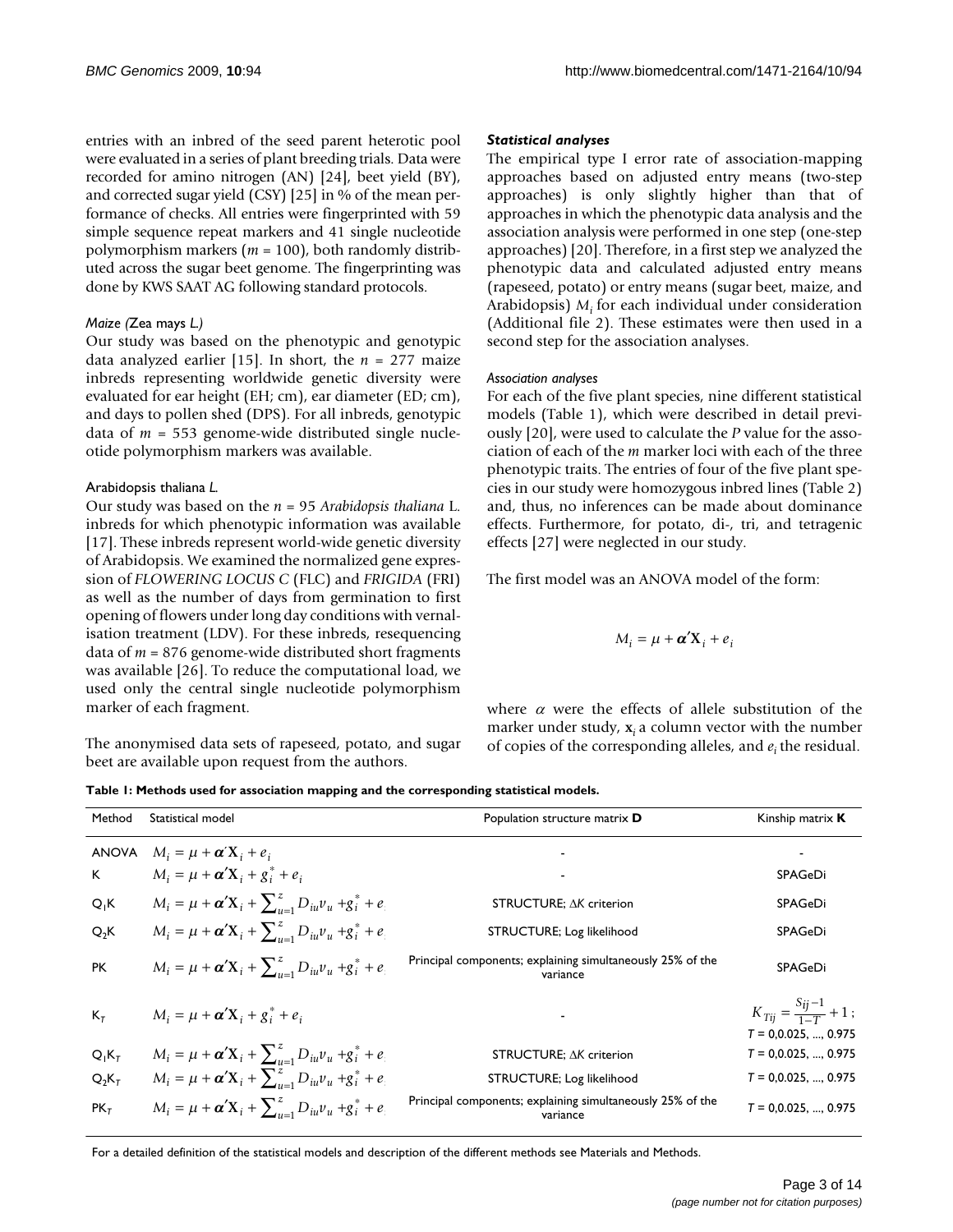entries with an inbred of the seed parent heterotic pool were evaluated in a series of plant breeding trials. Data were recorded for amino nitrogen (AN) [24], beet yield (BY), and corrected sugar yield (CSY) [25] in % of the mean performance of checks. All entries were fingerprinted with 59 simple sequence repeat markers and 41 single nucleotide polymorphism markers (*m* = 100), both randomly distributed across the sugar beet genome. The fingerprinting was done by KWS SAAT AG following standard protocols.

#### *Maize (*Zea mays *L.)*

Our study was based on the phenotypic and genotypic data analyzed earlier [15]. In short, the *n* = 277 maize inbreds representing worldwide genetic diversity were evaluated for ear height (EH; cm), ear diameter (ED; cm), and days to pollen shed (DPS). For all inbreds, genotypic data of *m* = 553 genome-wide distributed single nucleotide polymorphism markers was available.

#### Arabidopsis thaliana *L.*

Our study was based on the *n* = 95 *Arabidopsis thaliana* L. inbreds for which phenotypic information was available [17]. These inbreds represent world-wide genetic diversity of Arabidopsis. We examined the normalized gene expression of *FLOWERING LOCUS C* (FLC) and *FRIGIDA* (FRI) as well as the number of days from germination to first opening of flowers under long day conditions with vernalisation treatment (LDV). For these inbreds, resequencing data of *m* = 876 genome-wide distributed short fragments was available [26]. To reduce the computational load, we used only the central single nucleotide polymorphism marker of each fragment.

The anonymised data sets of rapeseed, potato, and sugar beet are available upon request from the authors.

#### *Statistical analyses*

The empirical type I error rate of association-mapping approaches based on adjusted entry means (two-step approaches) is only slightly higher than that of approaches in which the phenotypic data analysis and the association analysis were performed in one step (one-step approaches) [20]. Therefore, in a first step we analyzed the phenotypic data and calculated adjusted entry means (rapeseed, potato) or entry means (sugar beet, maize, and Arabidopsis) *Mi* for each individual under consideration (Additional file 2). These estimates were then used in a second step for the association analyses.

#### *Association analyses*

For each of the five plant species, nine different statistical models (Table 1), which were described in detail previously [20], were used to calculate the *P* value for the association of each of the *m* marker loci with each of the three phenotypic traits. The entries of four of the five plant species in our study were homozygous inbred lines (Table 2) and, thus, no inferences can be made about dominance effects. Furthermore, for potato, di-, tri, and tetragenic effects [27] were neglected in our study.

The first model was an ANOVA model of the form:

$$
M_i = \mu + \alpha' \mathbf{X}_i + e_i
$$

where  $\alpha$  were the effects of allele substitution of the marker under study, **x***i* a column vector with the number of copies of the corresponding alleles, and *ei* the residual.

|  | Table I: Methods used for association mapping and the corresponding statistical models. |  |  |  |
|--|-----------------------------------------------------------------------------------------|--|--|--|
|  |                                                                                         |  |  |  |

| Method       | Statistical model                                                        | Population structure matrix <b>D</b>                                   | Kinship matrix <b>K</b>                                          |
|--------------|--------------------------------------------------------------------------|------------------------------------------------------------------------|------------------------------------------------------------------|
| <b>ANOVA</b> | $M_i = \mu + \alpha' \mathbf{X}_i + e_i$                                 |                                                                        |                                                                  |
| K            | $M_i = \mu + \alpha' \mathbf{X}_i + g_i^* + e_i$                         |                                                                        | SPAGeDi                                                          |
| $Q_1K$       | $M_i = \mu + \alpha' X_i + \sum_{u=1}^{z} D_{iu} v_u + g_i^* + e_i$      | STRUCTURE; AK criterion                                                | <b>SPAGeDi</b>                                                   |
| $Q_2K$       | $M_i = \mu + \alpha' X_i + \sum_{u=1}^{z} D_{iu} v_u + g_i^* + e_i$      | STRUCTURE; Log likelihood                                              | SPAGeDi                                                          |
| <b>PK</b>    | $M_i = \mu + \alpha' X_i + \sum_{u=1}^{z} D_{iu} v_u + g_i^* + e_i$      | Principal components; explaining simultaneously 25% of the<br>variance | SPAGeDi                                                          |
| $K_{\tau}$   | $M_i = \mu + \alpha' \mathbf{X}_i + g_i^* + e_i$                         |                                                                        | $K_{Tii} = \frac{S_{ij}-1}{1-T} + 1$ ;<br>$T = 0,0.025, , 0.975$ |
| $Q_1K_T$     | $M_i = \mu + \alpha' \mathbf{X}_i + \sum_{u=1}^z D_{iu} v_u + g_i^* + e$ | STRUCTURE; AK criterion                                                | $T = 0,0.025, , 0.975$                                           |
| $Q_2K_T$     | $M_i = \mu + \alpha' X_i + \sum_{u=1}^{z} D_{iu} v_u + g_i^* + e_i$      | STRUCTURE; Log likelihood                                              | $T = 0,0.025, , 0.975$                                           |
| $PK_{T}$     | $M_i = \mu + \alpha' X_i + \sum_{u=1}^{z} D_{iu} v_u + g_i^* + e_i$      | Principal components; explaining simultaneously 25% of the<br>variance | $T = 0.0.025, \dots, 0.975$                                      |

For a detailed definition of the statistical models and description of the different methods see Materials and Methods.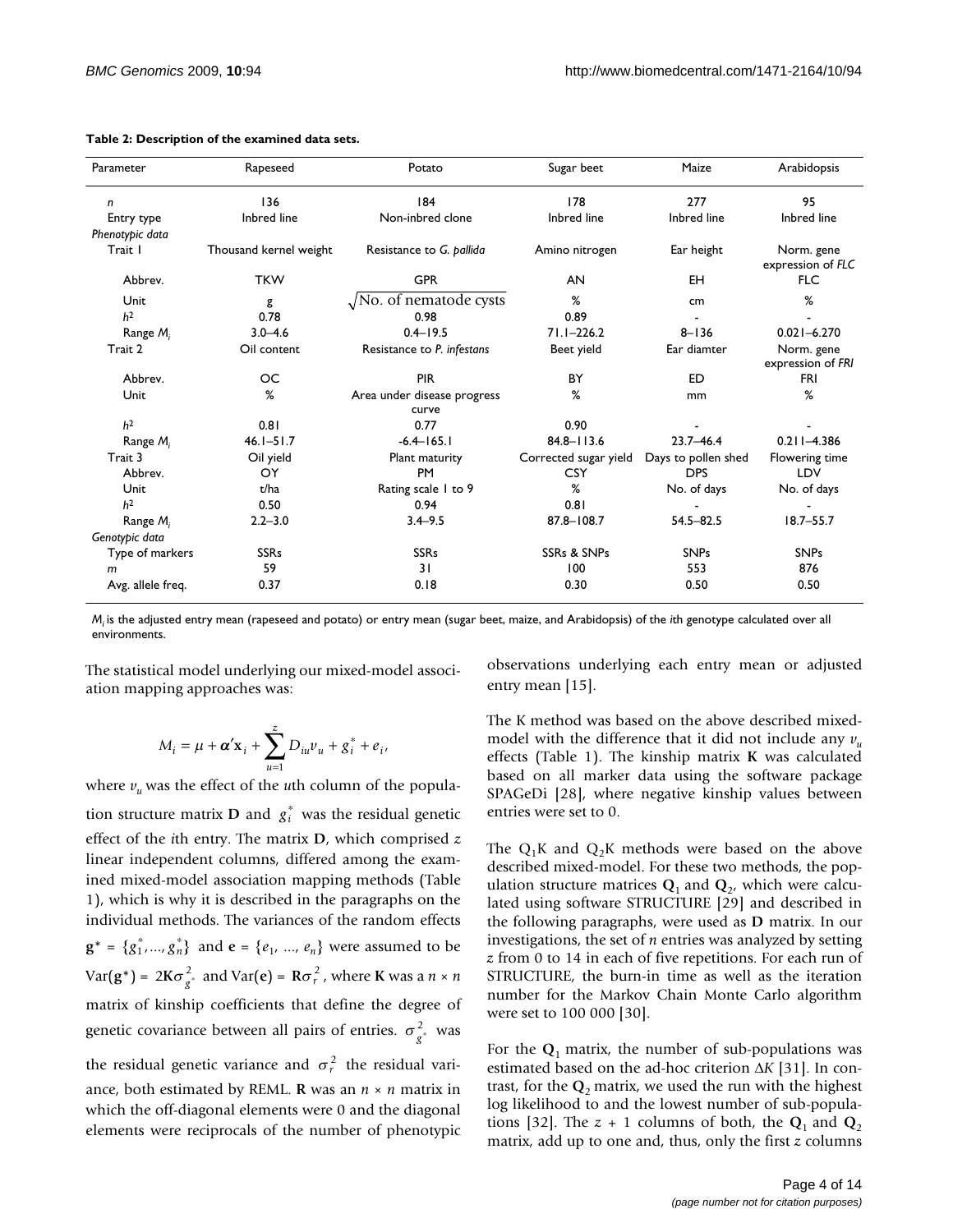| Parameter         | Rapeseed               | Potato                               | Sugar beet            | Maize               | Arabidopsis                     |
|-------------------|------------------------|--------------------------------------|-----------------------|---------------------|---------------------------------|
| n                 | 136                    | 184                                  | 178                   | 277                 | 95                              |
| Entry type        | Inbred line            | Non-inbred clone                     | Inbred line           | Inbred line         | Inbred line                     |
| Phenotypic data   |                        |                                      |                       |                     |                                 |
| Trait 1           | Thousand kernel weight | Resistance to G. pallida             | Amino nitrogen        | Ear height          | Norm. gene<br>expression of FLC |
| Abbrev.           | <b>TKW</b>             | <b>GPR</b>                           | AN                    | EH                  | <b>FLC</b>                      |
| Unit              | g                      | $\sqrt{N}$ o. of nematode cysts      | %                     | cm                  | %                               |
| h <sup>2</sup>    | 0.78                   | 0.98                                 | 0.89                  |                     |                                 |
| Range $M_i$       | $3.0 - 4.6$            | $0.4 - 19.5$                         | $71.1 - 226.2$        | $8 - 136$           | $0.021 - 6.270$                 |
| Trait 2           | Oil content            | Resistance to P. infestans           | Beet yield            | Ear diamter         | Norm. gene<br>expression of FRI |
| Abbrev.           | <b>OC</b>              | <b>PIR</b>                           | BY                    | <b>ED</b>           | <b>FRI</b>                      |
| Unit              | %                      | Area under disease progress<br>curve | %                     | mm                  | %                               |
| h <sup>2</sup>    | 0.81                   | 0.77                                 | 0.90                  |                     |                                 |
| Range $M_i$       | $46.1 - 51.7$          | $-6.4 - 165.1$                       | $84.8 - 113.6$        | $23.7 - 46.4$       | $0.211 - 4.386$                 |
| Trait 3           | Oil yield              | Plant maturity                       | Corrected sugar yield | Days to pollen shed | Flowering time                  |
| Abbrev.           | OY                     | <b>PM</b>                            | <b>CSY</b>            | <b>DPS</b>          | <b>LDV</b>                      |
| Unit              | t/ha                   | Rating scale 1 to 9                  | %                     | No. of days         | No. of days                     |
| h <sup>2</sup>    | 0.50                   | 0.94                                 | 0.81                  |                     |                                 |
| Range $M_i$       | $2.2 - 3.0$            | $3.4 - 9.5$                          | 87.8-108.7            | $54.5 - 82.5$       | $18.7 - 55.7$                   |
| Genotypic data    |                        |                                      |                       |                     |                                 |
| Type of markers   | <b>SSRs</b>            | <b>SSRs</b>                          | SSRs & SNPs           | <b>SNPs</b>         | <b>SNPs</b>                     |
| m                 | 59                     | 31                                   | 100                   | 553                 | 876                             |
| Avg. allele freq. | 0.37                   | 0.18                                 | 0.30                  | 0.50                | 0.50                            |

#### **Table 2: Description of the examined data sets.**

*Mi* is the adjusted entry mean (rapeseed and potato) or entry mean (sugar beet, maize, and Arabidopsis) of the *i*th genotype calculated over all environments.

The statistical model underlying our mixed-model association mapping approaches was:

$$
M_{i} = \mu + \alpha' \mathbf{x}_{i} + \sum_{u=1}^{z} D_{iu} v_{u} + g_{i}^{*} + e_{i},
$$

where  $v_u$  was the effect of the *u*th column of the population structure matrix **D** and  $g_i^*$  was the residual genetic effect of the *i*th entry. The matrix **D**, which comprised *z* linear independent columns, differed among the examined mixed-model association mapping methods (Table 1), which is why it is described in the paragraphs on the individual methods. The variances of the random effects  $\mathbf{g}^* = \{g_1^*, ..., g_n^*\}$  and  $\mathbf{e} = \{e_1, ..., e_n\}$  were assumed to be  $Var(g^*)$  =  $2K\sigma_{g^*}^2$  and  $Var(e)$  =  $R\sigma_r^2$ , where **K** was a  $n \times n$ matrix of kinship coefficients that define the degree of genetic covariance between all pairs of entries.  $\sigma_{g^*}^2$  was the residual genetic variance and  $\sigma_r^2$  the residual variance, both estimated by REML. **R** was an  $n \times n$  matrix in which the off-diagonal elements were 0 and the diagonal elements were reciprocals of the number of phenotypic

observations underlying each entry mean or adjusted entry mean [15].

The K method was based on the above described mixedmodel with the difference that it did not include any  $v<sub>u</sub>$ effects (Table 1). The kinship matrix **K** was calculated based on all marker data using the software package SPAGeDi [28], where negative kinship values between entries were set to 0.

The  $Q_1K$  and  $Q_2K$  methods were based on the above described mixed-model. For these two methods, the population structure matrices  $Q_1$  and  $Q_2$ , which were calculated using software STRUCTURE [29] and described in the following paragraphs, were used as **D** matrix. In our investigations, the set of *n* entries was analyzed by setting *z* from 0 to 14 in each of five repetitions. For each run of STRUCTURE, the burn-in time as well as the iteration number for the Markov Chain Monte Carlo algorithm were set to 100 000 [30].

For the  $Q_1$  matrix, the number of sub-populations was estimated based on the ad-hoc criterion Δ*K* [31]. In contrast, for the  $Q_2$  matrix, we used the run with the highest log likelihood to and the lowest number of sub-populations [32]. The  $z + 1$  columns of both, the  $Q_1$  and  $Q_2$ matrix, add up to one and, thus, only the first *z* columns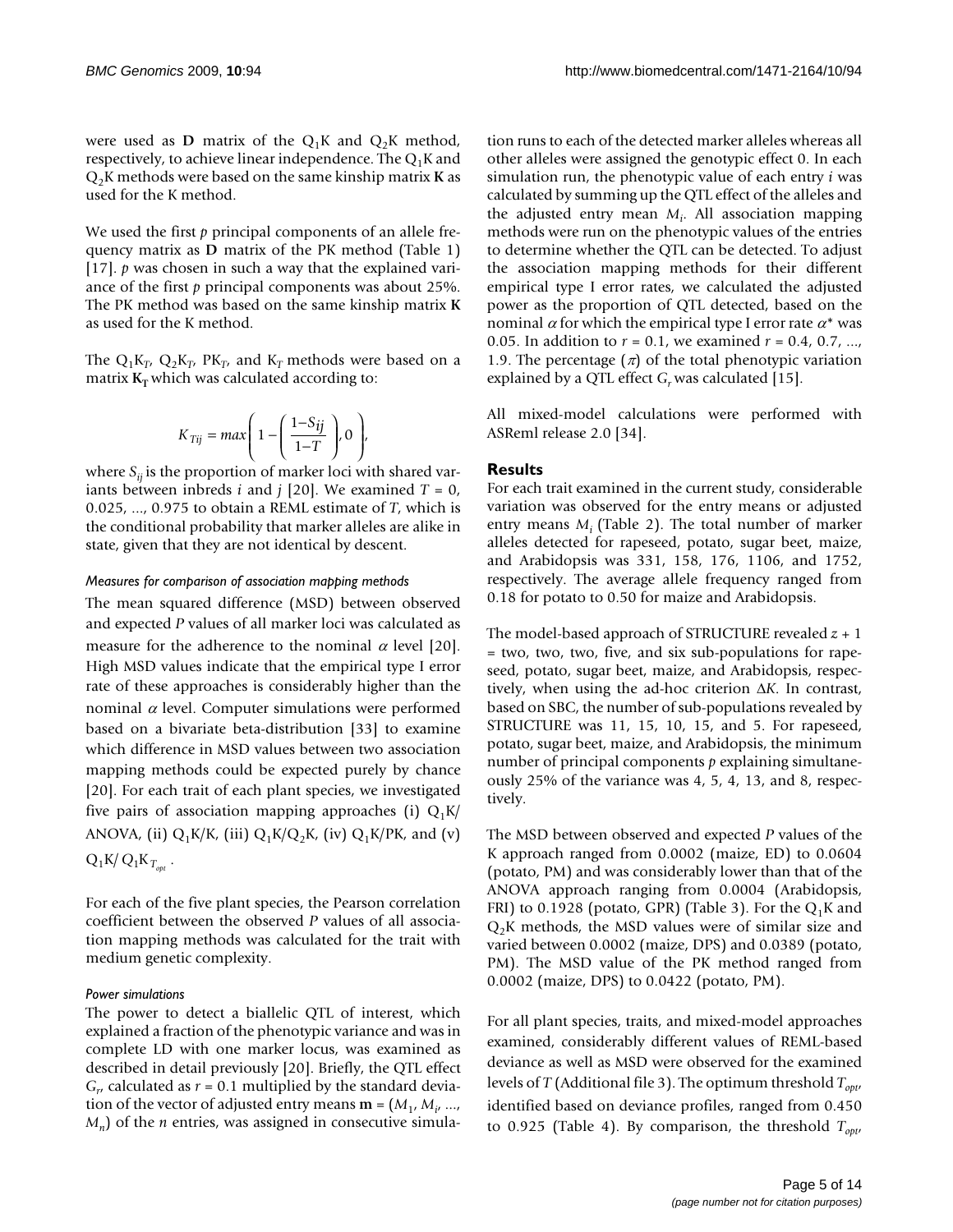were used as **D** matrix of the  $Q_1K$  and  $Q_2K$  method, respectively, to achieve linear independence. The  $Q_1K$  and Q2K methods were based on the same kinship matrix **K** as used for the K method.

We used the first *p* principal components of an allele frequency matrix as **D** matrix of the PK method (Table 1) [17]. *p* was chosen in such a way that the explained variance of the first *p* principal components was about 25%. The PK method was based on the same kinship matrix **K** as used for the K method.

The  $Q_1K_T$ ,  $Q_2K_T$ ,  $PK_T$ , and  $K_T$  methods were based on a matrix  $K_T$  which was calculated according to:

$$
K_{Tij} = max\left(1 - \left(\frac{1 - S_{ij}}{1 - T}\right), 0\right),\,
$$

where  $S_{ii}$  is the proportion of marker loci with shared variants between inbreds *i* and *j* [20]. We examined  $T = 0$ , 0.025, ..., 0.975 to obtain a REML estimate of *T*, which is the conditional probability that marker alleles are alike in state, given that they are not identical by descent.

#### *Measures for comparison of association mapping methods*

The mean squared difference (MSD) between observed and expected *P* values of all marker loci was calculated as measure for the adherence to the nominal  $\alpha$  level [20]. High MSD values indicate that the empirical type I error rate of these approaches is considerably higher than the nominal <sup>α</sup> level. Computer simulations were performed based on a bivariate beta-distribution [33] to examine which difference in MSD values between two association mapping methods could be expected purely by chance [20]. For each trait of each plant species, we investigated five pairs of association mapping approaches (i)  $Q_1K$ / ANOVA, (ii)  $Q_1K/K$ , (iii)  $Q_1K/Q_2K$ , (iv)  $Q_1K/PK$ , and (v)  $Q_1 K / Q_1 K_{T_{opt}}$ .

For each of the five plant species, the Pearson correlation coefficient between the observed *P* values of all association mapping methods was calculated for the trait with medium genetic complexity.

#### *Power simulations*

The power to detect a biallelic QTL of interest, which explained a fraction of the phenotypic variance and was in complete LD with one marker locus, was examined as described in detail previously [20]. Briefly, the QTL effect  $G_r$ , calculated as  $r = 0.1$  multiplied by the standard deviation of the vector of adjusted entry means  $\mathbf{m} = (M_1, M_i, \dots,$  $M_n$ ) of the *n* entries, was assigned in consecutive simulation runs to each of the detected marker alleles whereas all other alleles were assigned the genotypic effect 0. In each simulation run, the phenotypic value of each entry *i* was calculated by summing up the QTL effect of the alleles and the adjusted entry mean  $M_i$ . All association mapping methods were run on the phenotypic values of the entries to determine whether the QTL can be detected. To adjust the association mapping methods for their different empirical type I error rates, we calculated the adjusted power as the proportion of QTL detected, based on the nominal  $\alpha$  for which the empirical type I error rate  $\alpha^*$  was 0.05. In addition to *r* = 0.1, we examined *r* = 0.4, 0.7, ..., 1.9. The percentage  $(\pi)$  of the total phenotypic variation explained by a QTL effect *G<sub>r</sub>* was calculated [15].

All mixed-model calculations were performed with ASReml release 2.0 [34].

#### **Results**

For each trait examined in the current study, considerable variation was observed for the entry means or adjusted entry means *Mi* (Table 2). The total number of marker alleles detected for rapeseed, potato, sugar beet, maize, and Arabidopsis was 331, 158, 176, 1106, and 1752, respectively. The average allele frequency ranged from 0.18 for potato to 0.50 for maize and Arabidopsis.

The model-based approach of STRUCTURE revealed *z* + 1 = two, two, two, five, and six sub-populations for rapeseed, potato, sugar beet, maize, and Arabidopsis, respectively, when using the ad-hoc criterion Δ*K*. In contrast, based on SBC, the number of sub-populations revealed by STRUCTURE was 11, 15, 10, 15, and 5. For rapeseed, potato, sugar beet, maize, and Arabidopsis, the minimum number of principal components *p* explaining simultaneously 25% of the variance was 4, 5, 4, 13, and 8, respectively.

The MSD between observed and expected *P* values of the K approach ranged from 0.0002 (maize, ED) to 0.0604 (potato, PM) and was considerably lower than that of the ANOVA approach ranging from 0.0004 (Arabidopsis, FRI) to 0.1928 (potato, GPR) (Table 3). For the  $Q_1K$  and  $Q<sub>2</sub>K$  methods, the MSD values were of similar size and varied between 0.0002 (maize, DPS) and 0.0389 (potato, PM). The MSD value of the PK method ranged from 0.0002 (maize, DPS) to 0.0422 (potato, PM).

For all plant species, traits, and mixed-model approaches examined, considerably different values of REML-based deviance as well as MSD were observed for the examined levels of *T* (Additional file 3). The optimum threshold  $T_{\text{opt}}$ , identified based on deviance profiles, ranged from 0.450 to 0.925 (Table 4). By comparison, the threshold  $T_{opt}$ ,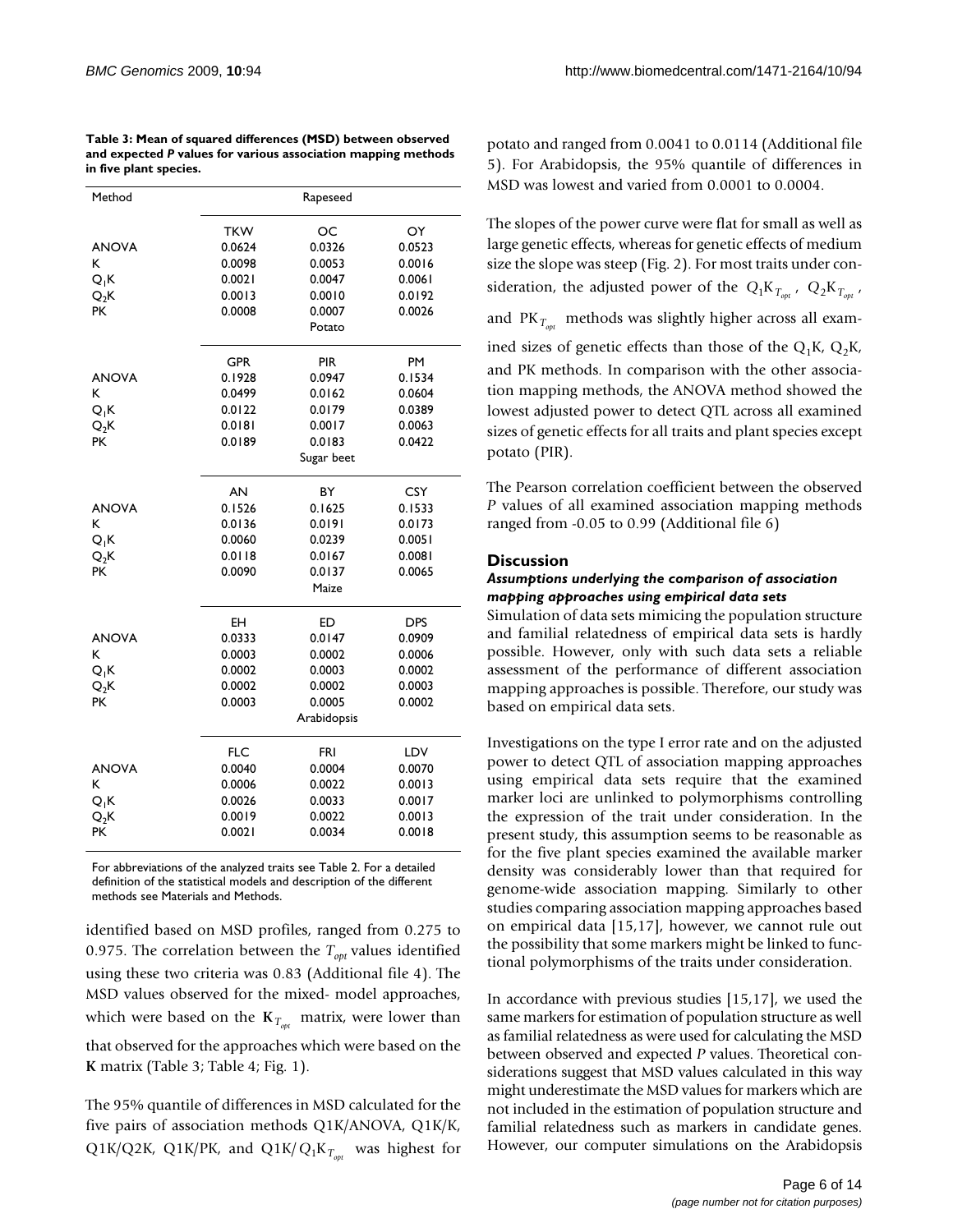**Table 3: Mean of squared differences (MSD) between observed and expected** *P* **values for various association mapping methods in five plant species.** 

| Method           |             | Rapeseed |            |  |  |  |
|------------------|-------------|----------|------------|--|--|--|
|                  | <b>TKW</b>  | ос       | OY         |  |  |  |
| <b>ANOVA</b>     | 0.0624      | 0.0326   | 0.0523     |  |  |  |
| ĸ                | 0.0098      | 0.0053   | 0.0016     |  |  |  |
| $Q_1K$           | 0.0021      | 0.0047   | 0.0061     |  |  |  |
| $Q_2K$           | 0.0013      | 0.0010   | 0.0192     |  |  |  |
| PК               | 0.0008      | 0.0007   | 0.0026     |  |  |  |
|                  |             | Potato   |            |  |  |  |
|                  | GPR         | PIR      | PΜ         |  |  |  |
| <b>ANOVA</b>     | 0.1928      | 0.0947   | 0.1534     |  |  |  |
| Κ                | 0.0499      | 0.0162   | 0.0604     |  |  |  |
| $Q_1K$           | 0.0122      | 0.0179   | 0.0389     |  |  |  |
| $Q_2K$           | 0.0181      | 0.0017   | 0.0063     |  |  |  |
| PК               | 0.0189      | 0.0183   | 0.0422     |  |  |  |
|                  | Sugar beet  |          |            |  |  |  |
|                  | AN          | BY       | CSY        |  |  |  |
| <b>ANOVA</b>     | 0.1526      | 0.1625   | 0.1533     |  |  |  |
| κ                | 0.0136      | 0.0191   | 0.0173     |  |  |  |
| $Q_1K$           | 0.0060      | 0.0239   | 0.0051     |  |  |  |
| $Q_2K$           | 0.0118      | 0.0167   | 0.0081     |  |  |  |
| PК               | 0.0090      | 0.0137   | 0.0065     |  |  |  |
|                  |             | Maize    |            |  |  |  |
|                  | EН          | ED       | <b>DPS</b> |  |  |  |
| ANOVA            | 0.0333      | 0.0147   | 0.0909     |  |  |  |
| ĸ                | 0.0003      | 0.0002   | 0.0006     |  |  |  |
| $Q_1K$           | 0.0002      | 0.0003   | 0.0002     |  |  |  |
| Q <sub>2</sub> K | 0.0002      | 0.0002   | 0.0003     |  |  |  |
| PK               | 0.0003      | 0.0005   | 0.0002     |  |  |  |
|                  | Arabidopsis |          |            |  |  |  |
|                  | FLC         | FRI      | LDV        |  |  |  |
| <b>ANOVA</b>     | 0.0040      | 0.0004   | 0.0070     |  |  |  |
| ĸ                | 0.0006      | 0.0022   | 0.0013     |  |  |  |
| $Q_1K$           | 0.0026      | 0.0033   | 0.0017     |  |  |  |
| $Q_2K$           | 0.0019      | 0.0022   | 0.0013     |  |  |  |
| PК               | 0.0021      | 0.0034   | 0.0018     |  |  |  |
|                  |             |          |            |  |  |  |

For abbreviations of the analyzed traits see Table 2. For a detailed definition of the statistical models and description of the different methods see Materials and Methods.

identified based on MSD profiles, ranged from 0.275 to 0.975. The correlation between the  $T_{opt}$  values identified using these two criteria was 0.83 (Additional file 4). The MSD values observed for the mixed- model approaches, which were based on the  $\mathbf{K}_{T_{opt}}$  matrix, were lower than that observed for the approaches which were based on the **K** matrix (Table 3; Table 4; Fig. 1).

The 95% quantile of differences in MSD calculated for the five pairs of association methods Q1K/ANOVA, Q1K/K, Q1K/Q2K, Q1K/PK, and Q1K/ $Q_1K_{T_{opt}}$  was highest for

potato and ranged from 0.0041 to 0.0114 (Additional file 5). For Arabidopsis, the 95% quantile of differences in MSD was lowest and varied from 0.0001 to 0.0004.

The slopes of the power curve were flat for small as well as large genetic effects, whereas for genetic effects of medium size the slope was steep (Fig. 2). For most traits under consideration, the adjusted power of the  $Q_1 K_{T_{opt}}$  ,  $Q_2 K_{T_{opt}}$  , and  $\text{PK}_{T_{opt}}$  methods was slightly higher across all examined sizes of genetic effects than those of the  $Q_1K$ ,  $Q_2K$ , and PK methods. In comparison with the other association mapping methods, the ANOVA method showed the lowest adjusted power to detect QTL across all examined sizes of genetic effects for all traits and plant species except potato (PIR).

The Pearson correlation coefficient between the observed *P* values of all examined association mapping methods ranged from -0.05 to 0.99 (Additional file 6)

#### **Discussion**

#### *Assumptions underlying the comparison of association mapping approaches using empirical data sets*

Simulation of data sets mimicing the population structure and familial relatedness of empirical data sets is hardly possible. However, only with such data sets a reliable assessment of the performance of different association mapping approaches is possible. Therefore, our study was based on empirical data sets.

Investigations on the type I error rate and on the adjusted power to detect QTL of association mapping approaches using empirical data sets require that the examined marker loci are unlinked to polymorphisms controlling the expression of the trait under consideration. In the present study, this assumption seems to be reasonable as for the five plant species examined the available marker density was considerably lower than that required for genome-wide association mapping. Similarly to other studies comparing association mapping approaches based on empirical data [15,17], however, we cannot rule out the possibility that some markers might be linked to functional polymorphisms of the traits under consideration.

In accordance with previous studies [15,17], we used the same markers for estimation of population structure as well as familial relatedness as were used for calculating the MSD between observed and expected *P* values. Theoretical considerations suggest that MSD values calculated in this way might underestimate the MSD values for markers which are not included in the estimation of population structure and familial relatedness such as markers in candidate genes. However, our computer simulations on the Arabidopsis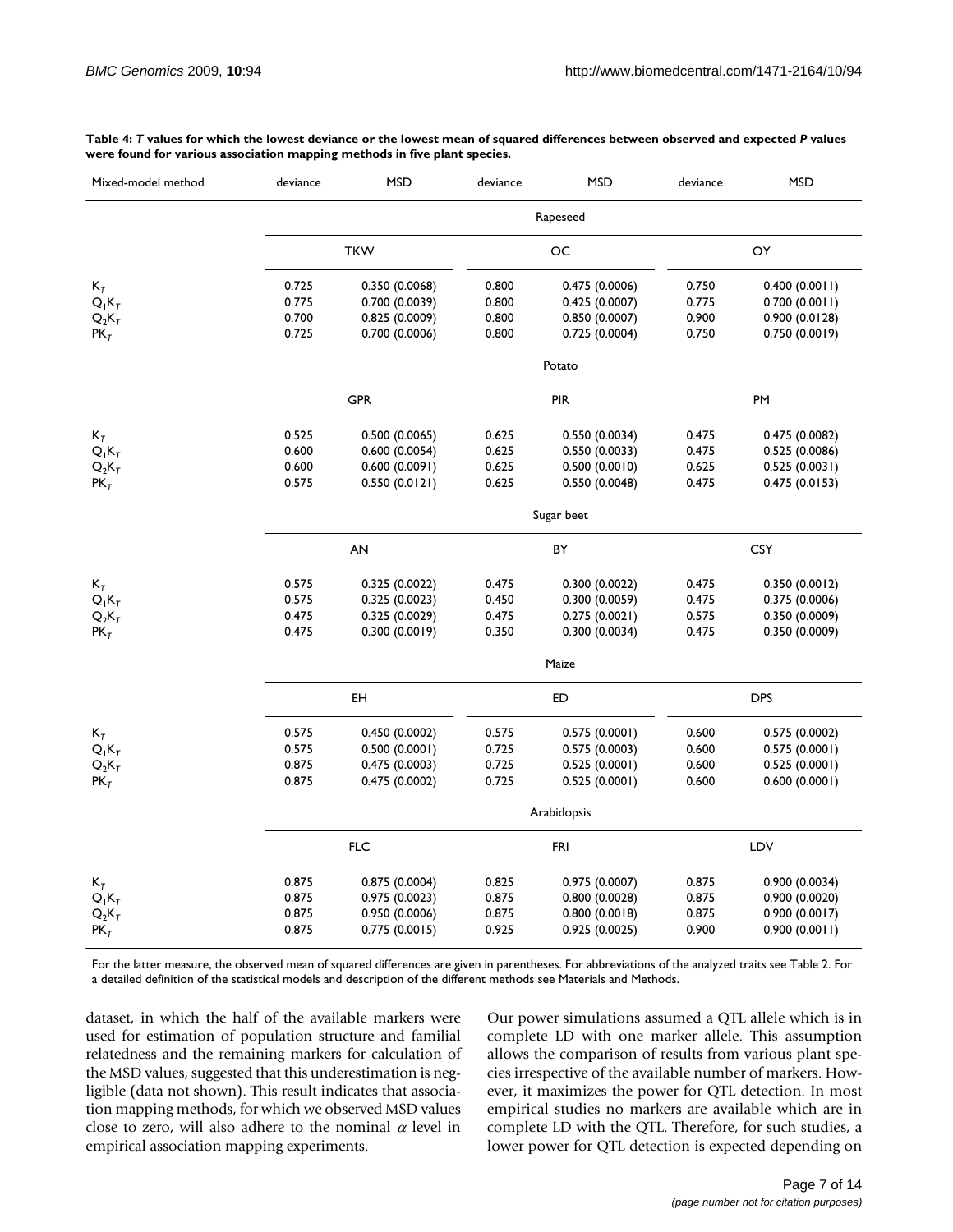| Mixed-model method | deviance    | <b>MSD</b>     | deviance   | <b>MSD</b>     | deviance | <b>MSD</b>     |  |
|--------------------|-------------|----------------|------------|----------------|----------|----------------|--|
|                    | Rapeseed    |                |            |                |          |                |  |
|                    | <b>TKW</b>  |                | OС         |                | OY       |                |  |
| $K_T$              | 0.725       | 0.350 (0.0068) | 0.800      | 0.475 (0.0006) | 0.750    | 0.400(0.0011)  |  |
| $Q_1K_T$           | 0.775       | 0.700 (0.0039) | 0.800      | 0.425(0.0007)  | 0.775    | 0.700(0.0011)  |  |
| $Q_2K_T$           | 0.700       | 0.825 (0.0009) | 0.800      | 0.850(0.0007)  | 0.900    | 0.900(0.0128)  |  |
| $PK_T$             | 0.725       | 0.700(0.0006)  | 0.800      | 0.725 (0.0004) | 0.750    | 0.750 (0.0019) |  |
|                    | Potato      |                |            |                |          |                |  |
|                    | <b>GPR</b>  |                | <b>PIR</b> |                | PM       |                |  |
| $K_T$              | 0.525       | 0.500(0.0065)  | 0.625      | 0.550(0.0034)  | 0.475    | 0.475(0.0082)  |  |
| $Q_1K_T$           | 0.600       | 0.600(0.0054)  | 0.625      | 0.550(0.0033)  | 0.475    | 0.525(0.0086)  |  |
| $Q_2K_T$           | 0.600       | 0.600(0.0091)  | 0.625      | 0.500(0.0010)  | 0.625    | 0.525(0.0031)  |  |
| $PK_T$             | 0.575       | 0.550(0.0121)  | 0.625      | 0.550 (0.0048) | 0.475    | 0.475(0.0153)  |  |
|                    | Sugar beet  |                |            |                |          |                |  |
|                    |             | <b>AN</b>      |            | ΒY             |          | <b>CSY</b>     |  |
| $K_T$              | 0.575       | 0.325 (0.0022) | 0.475      | 0.300 (0.0022) | 0.475    | 0.350(0.0012)  |  |
| $Q_1K_T$           | 0.575       | 0.325(0.0023)  | 0.450      | 0.300(0.0059)  | 0.475    | 0.375(0.0006)  |  |
| $Q_2K_T$           | 0.475       | 0.325 (0.0029) | 0.475      | 0.275(0.0021)  | 0.575    | 0.350 (0.0009) |  |
| PK <sub>T</sub>    | 0.475       | 0.300(0.0019)  | 0.350      | 0.300(0.0034)  | 0.475    | 0.350 (0.0009) |  |
|                    | Maize       |                |            |                |          |                |  |
|                    |             | EH             |            | ED             |          | <b>DPS</b>     |  |
| $K_T$              | 0.575       | 0.450(0.0002)  | 0.575      | 0.575(0.0001)  | 0.600    | 0.575(0.0002)  |  |
| $Q_1K_T$           | 0.575       | 0.500(0.0001)  | 0.725      | 0.575(0.0003)  | 0.600    | 0.575(0.0001)  |  |
| $Q_2K_T$           | 0.875       | 0.475(0.0003)  | 0.725      | 0.525(0.0001)  | 0.600    | 0.525(0.0001)  |  |
| $PK_T$             | 0.875       | 0.475(0.0002)  | 0.725      | 0.525(0.0001)  | 0.600    | 0.600(0.0001)  |  |
|                    | Arabidopsis |                |            |                |          |                |  |
|                    | <b>FLC</b>  |                | FRI        |                | LDV      |                |  |
| $K_T$              | 0.875       | 0.875(0.0004)  | 0.825      | 0.975 (0.0007) | 0.875    | 0.900(0.0034)  |  |
| $Q_1K_T$           | 0.875       | 0.975(0.0023)  | 0.875      | 0.800(0.0028)  | 0.875    | 0.900 (0.0020) |  |
| $Q_2K_T$           | 0.875       | 0.950(0.0006)  | 0.875      | 0.800(0.0018)  | 0.875    | 0.900(0.0017)  |  |
| $PK_T$             | 0.875       | 0.775(0.0015)  | 0.925      | 0.925 (0.0025) | 0.900    | 0.900(0.0011)  |  |

**Table 4:** *T* **values for which the lowest deviance or the lowest mean of squared differences between observed and expected** *P* **values were found for various association mapping methods in five plant species.**

For the latter measure, the observed mean of squared differences are given in parentheses. For abbreviations of the analyzed traits see Table 2. For a detailed definition of the statistical models and description of the different methods see Materials and Methods.

dataset, in which the half of the available markers were used for estimation of population structure and familial relatedness and the remaining markers for calculation of the MSD values, suggested that this underestimation is negligible (data not shown). This result indicates that association mapping methods, for which we observed MSD values close to zero, will also adhere to the nominal  $\alpha$  level in empirical association mapping experiments.

Our power simulations assumed a QTL allele which is in complete LD with one marker allele. This assumption allows the comparison of results from various plant species irrespective of the available number of markers. However, it maximizes the power for QTL detection. In most empirical studies no markers are available which are in complete LD with the QTL. Therefore, for such studies, a lower power for QTL detection is expected depending on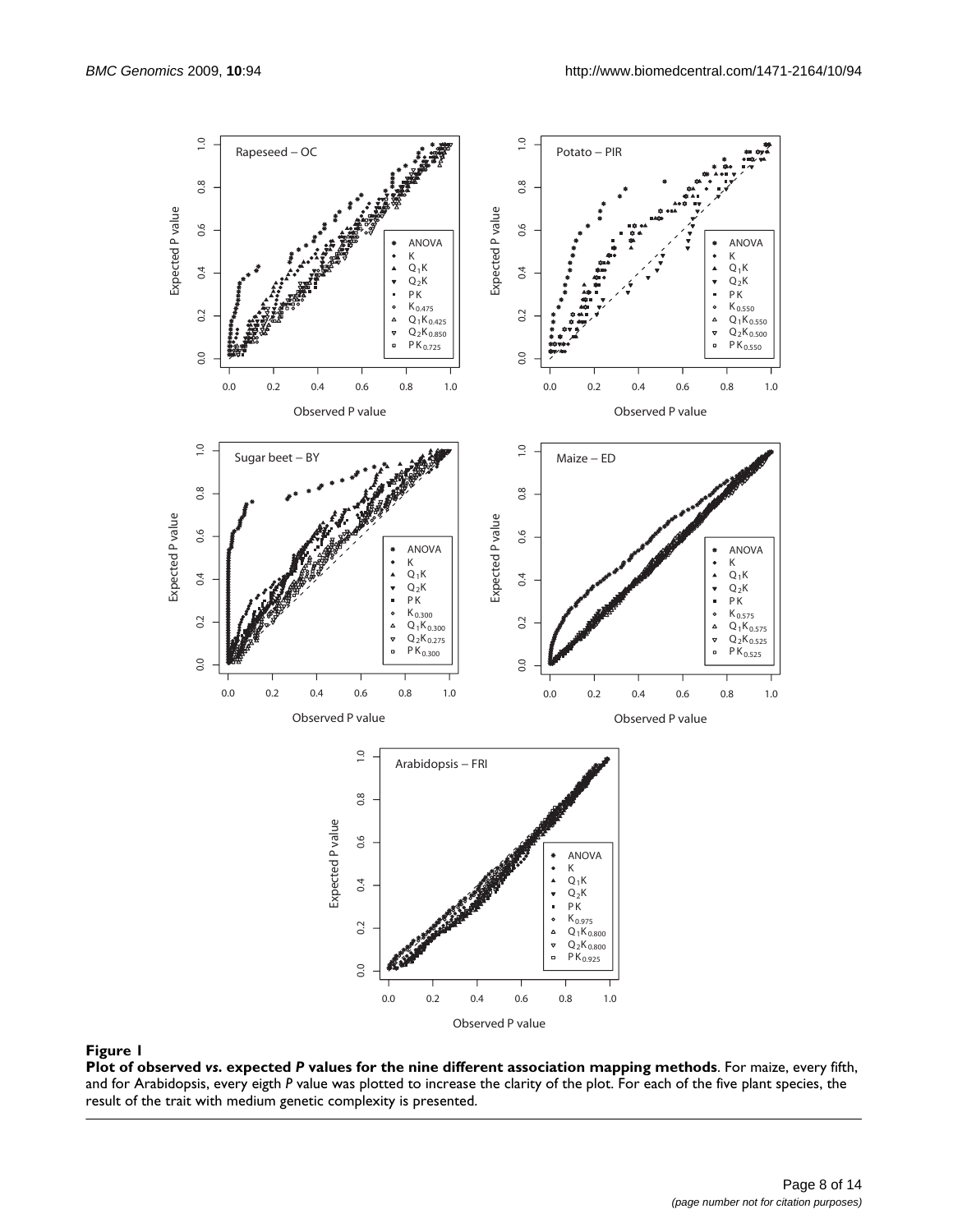

**Plot of observed** *vs***. expected** *P* **values for the nine different association mapping methods**. For maize, every fifth, and for Arabidopsis, every eigth *P* value was plotted to increase the clarity of the plot. For each of the five plant species, the result of the trait with medium genetic complexity is presented.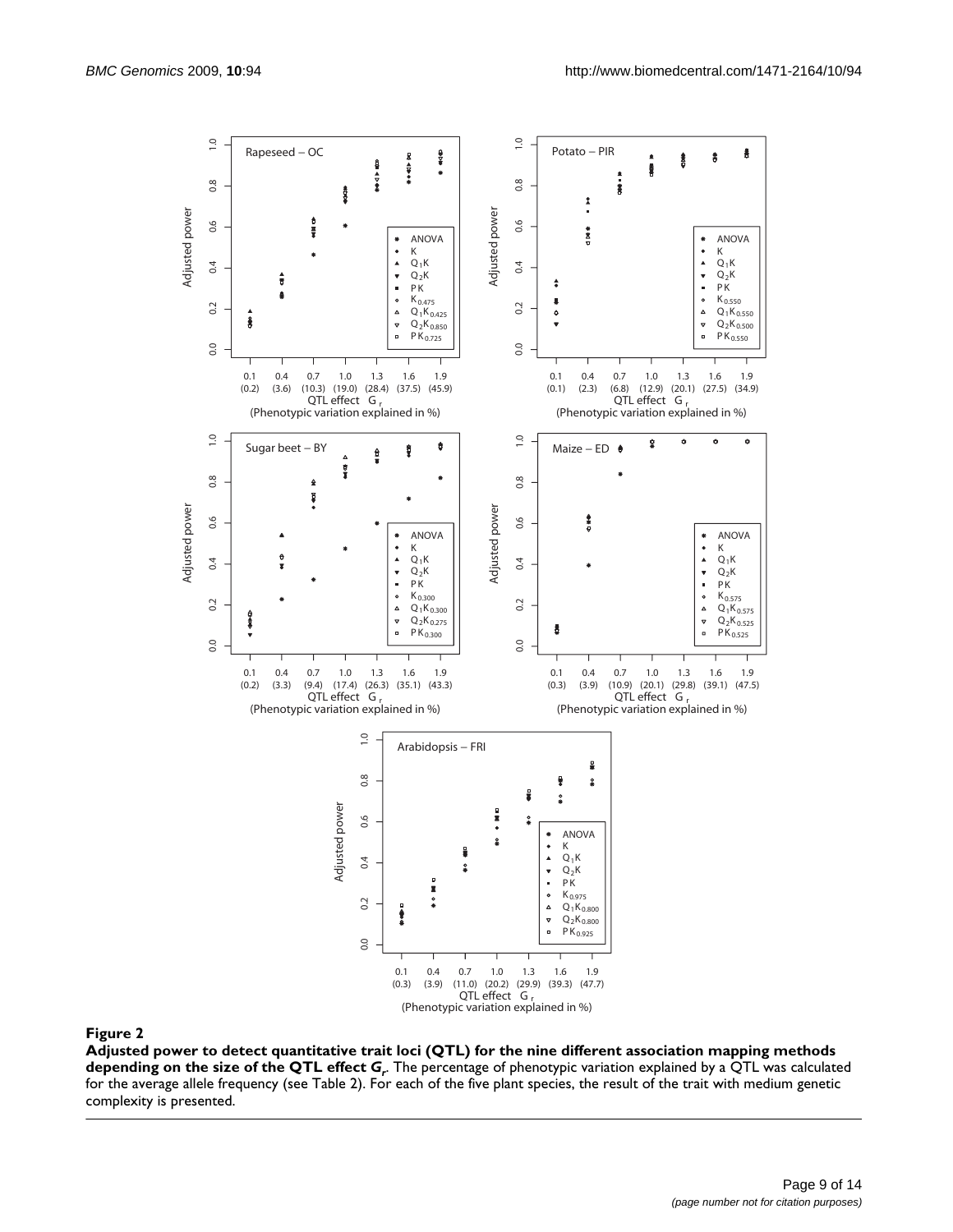

**Adjusted power to detect quantitative trait loci (QTL) for the nine different association mapping methods depending on the size of the QTL effect** *Gr*. The percentage of phenotypic variation explained by a QTL was calculated for the average allele frequency (see Table 2). For each of the five plant species, the result of the trait with medium genetic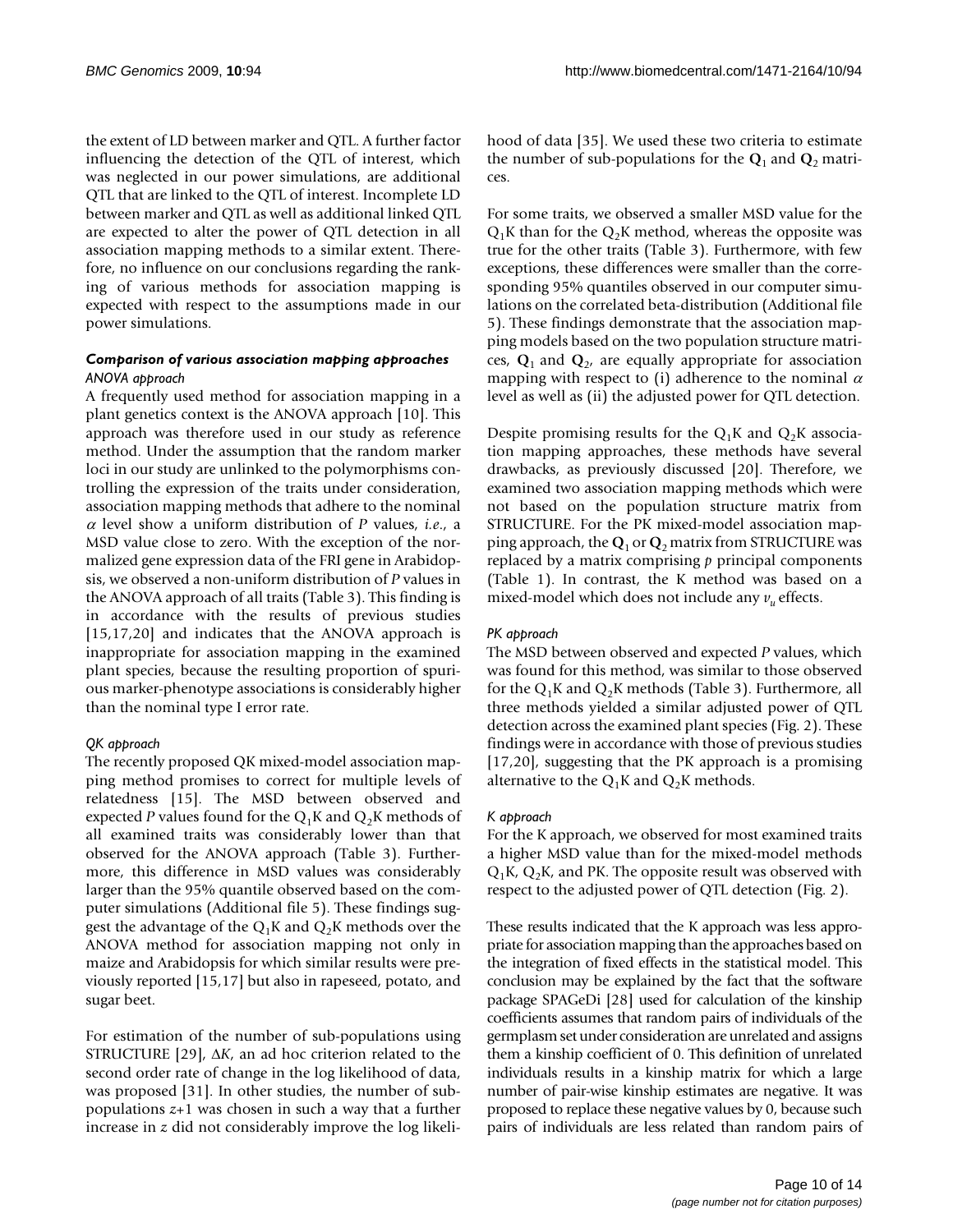the extent of LD between marker and QTL. A further factor influencing the detection of the QTL of interest, which was neglected in our power simulations, are additional QTL that are linked to the QTL of interest. Incomplete LD between marker and QTL as well as additional linked QTL are expected to alter the power of QTL detection in all association mapping methods to a similar extent. Therefore, no influence on our conclusions regarding the ranking of various methods for association mapping is expected with respect to the assumptions made in our power simulations.

#### *Comparison of various association mapping approaches ANOVA approach*

A frequently used method for association mapping in a plant genetics context is the ANOVA approach [10]. This approach was therefore used in our study as reference method. Under the assumption that the random marker loci in our study are unlinked to the polymorphisms controlling the expression of the traits under consideration, association mapping methods that adhere to the nominal <sup>α</sup> level show a uniform distribution of *P* values, *i.e*., a MSD value close to zero. With the exception of the normalized gene expression data of the FRI gene in Arabidopsis, we observed a non-uniform distribution of *P* values in the ANOVA approach of all traits (Table 3). This finding is in accordance with the results of previous studies [15,17,20] and indicates that the ANOVA approach is inappropriate for association mapping in the examined plant species, because the resulting proportion of spurious marker-phenotype associations is considerably higher than the nominal type I error rate.

# *QK approach*

The recently proposed QK mixed-model association mapping method promises to correct for multiple levels of relatedness [15]. The MSD between observed and expected *P* values found for the  $Q_1K$  and  $Q_2K$  methods of all examined traits was considerably lower than that observed for the ANOVA approach (Table 3). Furthermore, this difference in MSD values was considerably larger than the 95% quantile observed based on the computer simulations (Additional file 5). These findings suggest the advantage of the  $Q_1K$  and  $Q_2K$  methods over the ANOVA method for association mapping not only in maize and Arabidopsis for which similar results were previously reported [15,17] but also in rapeseed, potato, and sugar beet.

For estimation of the number of sub-populations using STRUCTURE [29], Δ*K*, an ad hoc criterion related to the second order rate of change in the log likelihood of data, was proposed [31]. In other studies, the number of subpopulations *z*+1 was chosen in such a way that a further increase in *z* did not considerably improve the log likelihood of data [35]. We used these two criteria to estimate the number of sub-populations for the  $\mathbf{Q}_1$  and  $\mathbf{Q}_2$  matrices.

For some traits, we observed a smaller MSD value for the  $Q_1$ K than for the  $Q_2$ K method, whereas the opposite was true for the other traits (Table 3). Furthermore, with few exceptions, these differences were smaller than the corresponding 95% quantiles observed in our computer simulations on the correlated beta-distribution (Additional file 5). These findings demonstrate that the association mapping models based on the two population structure matrices,  $\mathbf{Q}_1$  and  $\mathbf{Q}_2$ , are equally appropriate for association mapping with respect to (i) adherence to the nominal  $\alpha$ level as well as (ii) the adjusted power for QTL detection.

Despite promising results for the  $Q_1K$  and  $Q_2K$  association mapping approaches, these methods have several drawbacks, as previously discussed [20]. Therefore, we examined two association mapping methods which were not based on the population structure matrix from STRUCTURE. For the PK mixed-model association mapping approach, the  $Q_1$  or  $Q_2$  matrix from STRUCTURE was replaced by a matrix comprising *p* principal components (Table 1). In contrast, the K method was based on a mixed-model which does not include any  $v<sub>u</sub>$  effects.

#### *PK approach*

The MSD between observed and expected *P* values, which was found for this method, was similar to those observed for the  $Q_1K$  and  $Q_2K$  methods (Table 3). Furthermore, all three methods yielded a similar adjusted power of QTL detection across the examined plant species (Fig. 2). These findings were in accordance with those of previous studies [17,20], suggesting that the PK approach is a promising alternative to the  $Q_1K$  and  $Q_2K$  methods.

#### *K approach*

For the K approach, we observed for most examined traits a higher MSD value than for the mixed-model methods  $Q_1K$ ,  $Q_2K$ , and PK. The opposite result was observed with respect to the adjusted power of QTL detection (Fig. 2).

These results indicated that the K approach was less appropriate for association mapping than the approaches based on the integration of fixed effects in the statistical model. This conclusion may be explained by the fact that the software package SPAGeDi [28] used for calculation of the kinship coefficients assumes that random pairs of individuals of the germplasm set under consideration are unrelated and assigns them a kinship coefficient of 0. This definition of unrelated individuals results in a kinship matrix for which a large number of pair-wise kinship estimates are negative. It was proposed to replace these negative values by 0, because such pairs of individuals are less related than random pairs of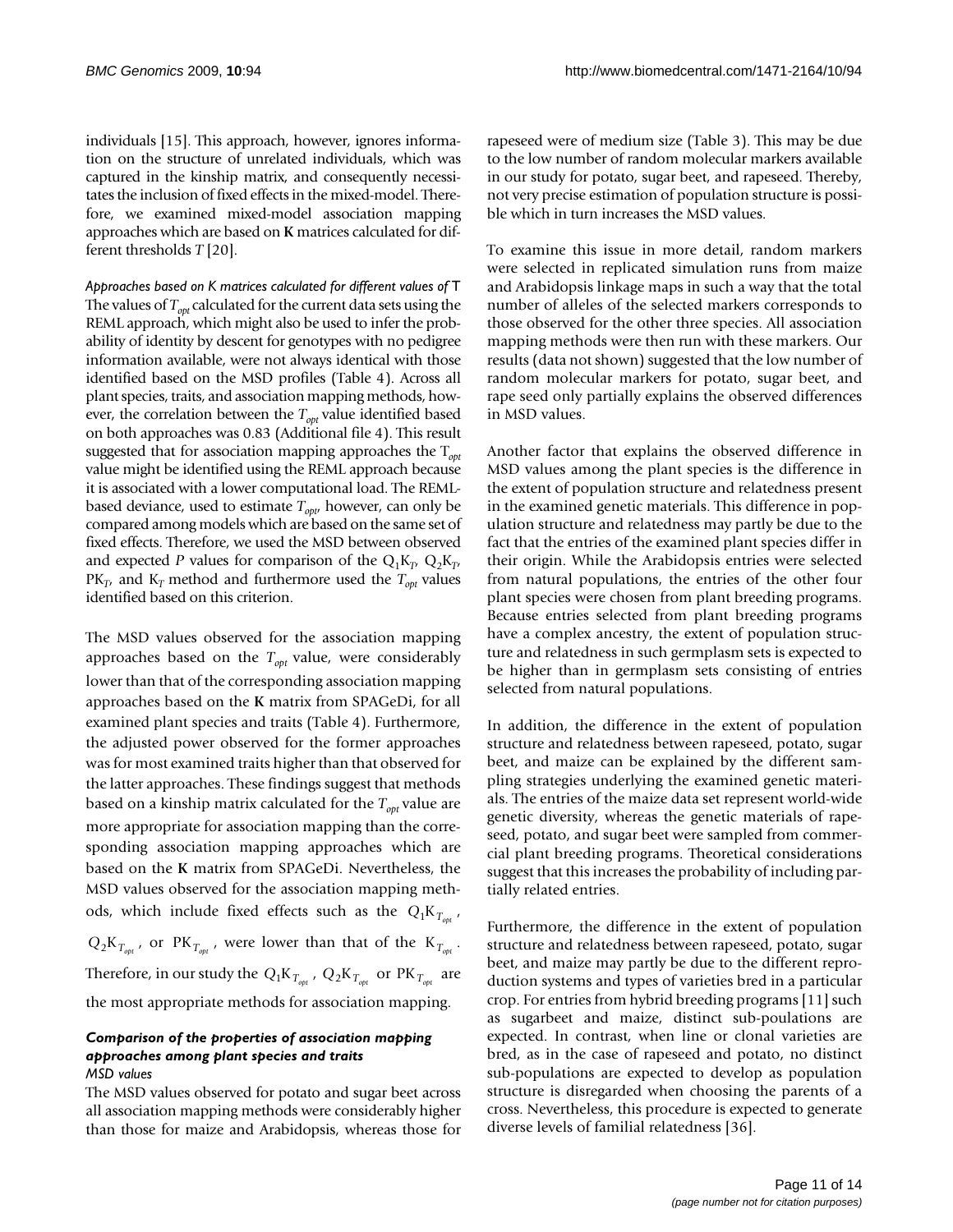individuals [15]. This approach, however, ignores information on the structure of unrelated individuals, which was captured in the kinship matrix, and consequently necessitates the inclusion of fixed effects in the mixed-model. Therefore, we examined mixed-model association mapping approaches which are based on **K** matrices calculated for different thresholds *T* [20].

*Approaches based on K matrices calculated for different values of* T The values of  $T_{opt}$  calculated for the current data sets using the REML approach, which might also be used to infer the probability of identity by descent for genotypes with no pedigree information available, were not always identical with those identified based on the MSD profiles (Table 4). Across all plant species, traits, and association mapping methods, however, the correlation between the  $T_{opt}$  value identified based on both approaches was 0.83 (Additional file 4). This result suggested that for association mapping approaches the T*opt* value might be identified using the REML approach because it is associated with a lower computational load. The REMLbased deviance, used to estimate  $T_{\text{opt}}$  however, can only be compared among models which are based on the same set of fixed effects. Therefore, we used the MSD between observed and expected *P* values for comparison of the  $Q_1K_T$ ,  $Q_2K_T$ ,  $PK_T$ , and  $K_T$  method and furthermore used the  $T_{opt}$  values identified based on this criterion.

The MSD values observed for the association mapping approaches based on the *Topt* value, were considerably lower than that of the corresponding association mapping approaches based on the **K** matrix from SPAGeDi, for all examined plant species and traits (Table 4). Furthermore, the adjusted power observed for the former approaches was for most examined traits higher than that observed for the latter approaches. These findings suggest that methods based on a kinship matrix calculated for the  $T_{opt}$  value are more appropriate for association mapping than the corresponding association mapping approaches which are based on the **K** matrix from SPAGeDi. Nevertheless, the MSD values observed for the association mapping methods, which include fixed effects such as the  $Q_1 K_{T_{opt}}$ ,  $Q_2 K_{T_{opt}}$ , or  $PK_{T_{opt}}$ , were lower than that of the  $K_{T_{opt}}$ . Therefore, in our study the  $Q_1K_{T_{opt}}$  ,  $Q_2K_{T_{opt}}$  or  $\text{PK}_{T_{opt}}$  are the most appropriate methods for association mapping.

#### *Comparison of the properties of association mapping approaches among plant species and traits MSD values*

The MSD values observed for potato and sugar beet across all association mapping methods were considerably higher than those for maize and Arabidopsis, whereas those for rapeseed were of medium size (Table 3). This may be due to the low number of random molecular markers available in our study for potato, sugar beet, and rapeseed. Thereby, not very precise estimation of population structure is possible which in turn increases the MSD values.

To examine this issue in more detail, random markers were selected in replicated simulation runs from maize and Arabidopsis linkage maps in such a way that the total number of alleles of the selected markers corresponds to those observed for the other three species. All association mapping methods were then run with these markers. Our results (data not shown) suggested that the low number of random molecular markers for potato, sugar beet, and rape seed only partially explains the observed differences in MSD values.

Another factor that explains the observed difference in MSD values among the plant species is the difference in the extent of population structure and relatedness present in the examined genetic materials. This difference in population structure and relatedness may partly be due to the fact that the entries of the examined plant species differ in their origin. While the Arabidopsis entries were selected from natural populations, the entries of the other four plant species were chosen from plant breeding programs. Because entries selected from plant breeding programs have a complex ancestry, the extent of population structure and relatedness in such germplasm sets is expected to be higher than in germplasm sets consisting of entries selected from natural populations.

In addition, the difference in the extent of population structure and relatedness between rapeseed, potato, sugar beet, and maize can be explained by the different sampling strategies underlying the examined genetic materials. The entries of the maize data set represent world-wide genetic diversity, whereas the genetic materials of rapeseed, potato, and sugar beet were sampled from commercial plant breeding programs. Theoretical considerations suggest that this increases the probability of including partially related entries.

Furthermore, the difference in the extent of population structure and relatedness between rapeseed, potato, sugar beet, and maize may partly be due to the different reproduction systems and types of varieties bred in a particular crop. For entries from hybrid breeding programs [11] such as sugarbeet and maize, distinct sub-poulations are expected. In contrast, when line or clonal varieties are bred, as in the case of rapeseed and potato, no distinct sub-populations are expected to develop as population structure is disregarded when choosing the parents of a cross. Nevertheless, this procedure is expected to generate diverse levels of familial relatedness [36].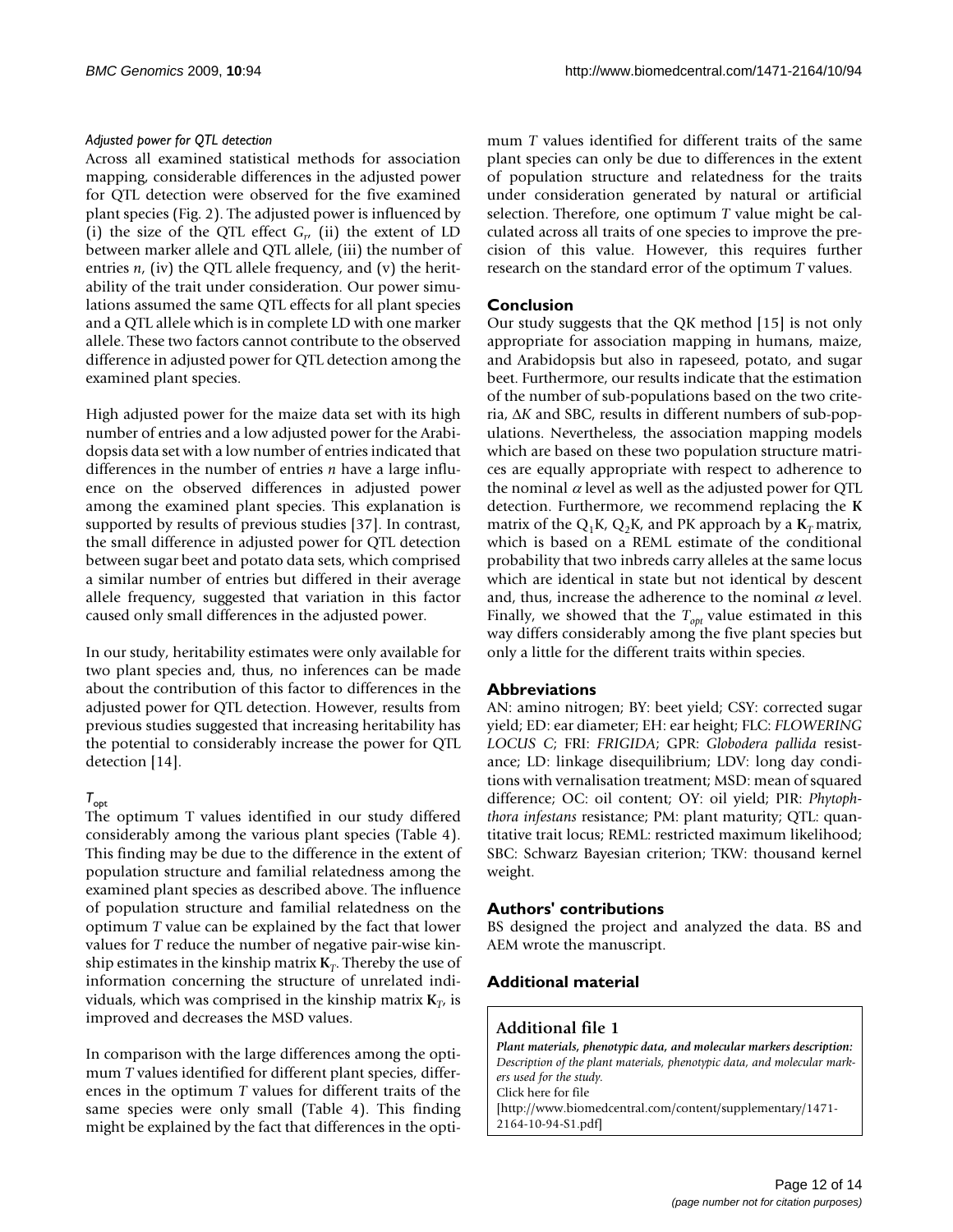#### *Adjusted power for QTL detection*

Across all examined statistical methods for association mapping, considerable differences in the adjusted power for QTL detection were observed for the five examined plant species (Fig. 2). The adjusted power is influenced by (i) the size of the QTL effect  $G_r$ , (ii) the extent of LD between marker allele and QTL allele, (iii) the number of entries *n*, (iv) the QTL allele frequency, and (v) the heritability of the trait under consideration. Our power simulations assumed the same QTL effects for all plant species and a QTL allele which is in complete LD with one marker allele. These two factors cannot contribute to the observed difference in adjusted power for QTL detection among the examined plant species.

High adjusted power for the maize data set with its high number of entries and a low adjusted power for the Arabidopsis data set with a low number of entries indicated that differences in the number of entries *n* have a large influence on the observed differences in adjusted power among the examined plant species. This explanation is supported by results of previous studies [37]. In contrast, the small difference in adjusted power for QTL detection between sugar beet and potato data sets, which comprised a similar number of entries but differed in their average allele frequency, suggested that variation in this factor caused only small differences in the adjusted power.

In our study, heritability estimates were only available for two plant species and, thus, no inferences can be made about the contribution of this factor to differences in the adjusted power for QTL detection. However, results from previous studies suggested that increasing heritability has the potential to considerably increase the power for QTL detection [14].

# *T*opt

The optimum T values identified in our study differed considerably among the various plant species (Table 4). This finding may be due to the difference in the extent of population structure and familial relatedness among the examined plant species as described above. The influence of population structure and familial relatedness on the optimum *T* value can be explained by the fact that lower values for *T* reduce the number of negative pair-wise kinship estimates in the kinship matrix  $K_T$ . Thereby the use of information concerning the structure of unrelated individuals, which was comprised in the kinship matrix  $K_T$ , is improved and decreases the MSD values.

In comparison with the large differences among the optimum *T* values identified for different plant species, differences in the optimum *T* values for different traits of the same species were only small (Table 4). This finding might be explained by the fact that differences in the optimum *T* values identified for different traits of the same plant species can only be due to differences in the extent of population structure and relatedness for the traits under consideration generated by natural or artificial selection. Therefore, one optimum *T* value might be calculated across all traits of one species to improve the precision of this value. However, this requires further research on the standard error of the optimum *T* values.

## **Conclusion**

Our study suggests that the QK method [15] is not only appropriate for association mapping in humans, maize, and Arabidopsis but also in rapeseed, potato, and sugar beet. Furthermore, our results indicate that the estimation of the number of sub-populations based on the two criteria, Δ*K* and SBC, results in different numbers of sub-populations. Nevertheless, the association mapping models which are based on these two population structure matrices are equally appropriate with respect to adherence to the nominal  $\alpha$  level as well as the adjusted power for QTL detection. Furthermore, we recommend replacing the **K** matrix of the  $Q_1K$ ,  $Q_2K$ , and PK approach by a  $K_T$  matrix, which is based on a REML estimate of the conditional probability that two inbreds carry alleles at the same locus which are identical in state but not identical by descent and, thus, increase the adherence to the nominal  $\alpha$  level. Finally, we showed that the  $T_{\text{opt}}$  value estimated in this way differs considerably among the five plant species but only a little for the different traits within species.

#### **Abbreviations**

AN: amino nitrogen; BY: beet yield; CSY: corrected sugar yield; ED: ear diameter; EH: ear height; FLC: *FLOWERING LOCUS C*; FRI: *FRIGIDA*; GPR: *Globodera pallida* resistance; LD: linkage disequilibrium; LDV: long day conditions with vernalisation treatment; MSD: mean of squared difference; OC: oil content; OY: oil yield; PIR: *Phytophthora infestans* resistance; PM: plant maturity; QTL: quantitative trait locus; REML: restricted maximum likelihood; SBC: Schwarz Bayesian criterion; TKW: thousand kernel weight.

#### **Authors' contributions**

BS designed the project and analyzed the data. BS and AEM wrote the manuscript.

# **Additional material**

#### **Additional file 1**

*Plant materials, phenotypic data, and molecular markers description: Description of the plant materials, phenotypic data, and molecular markers used for the study.* Click here for file

[\[http://www.biomedcentral.com/content/supplementary/1471-](http://www.biomedcentral.com/content/supplementary/1471-2164-10-94-S1.pdf) 2164-10-94-S1.pdf]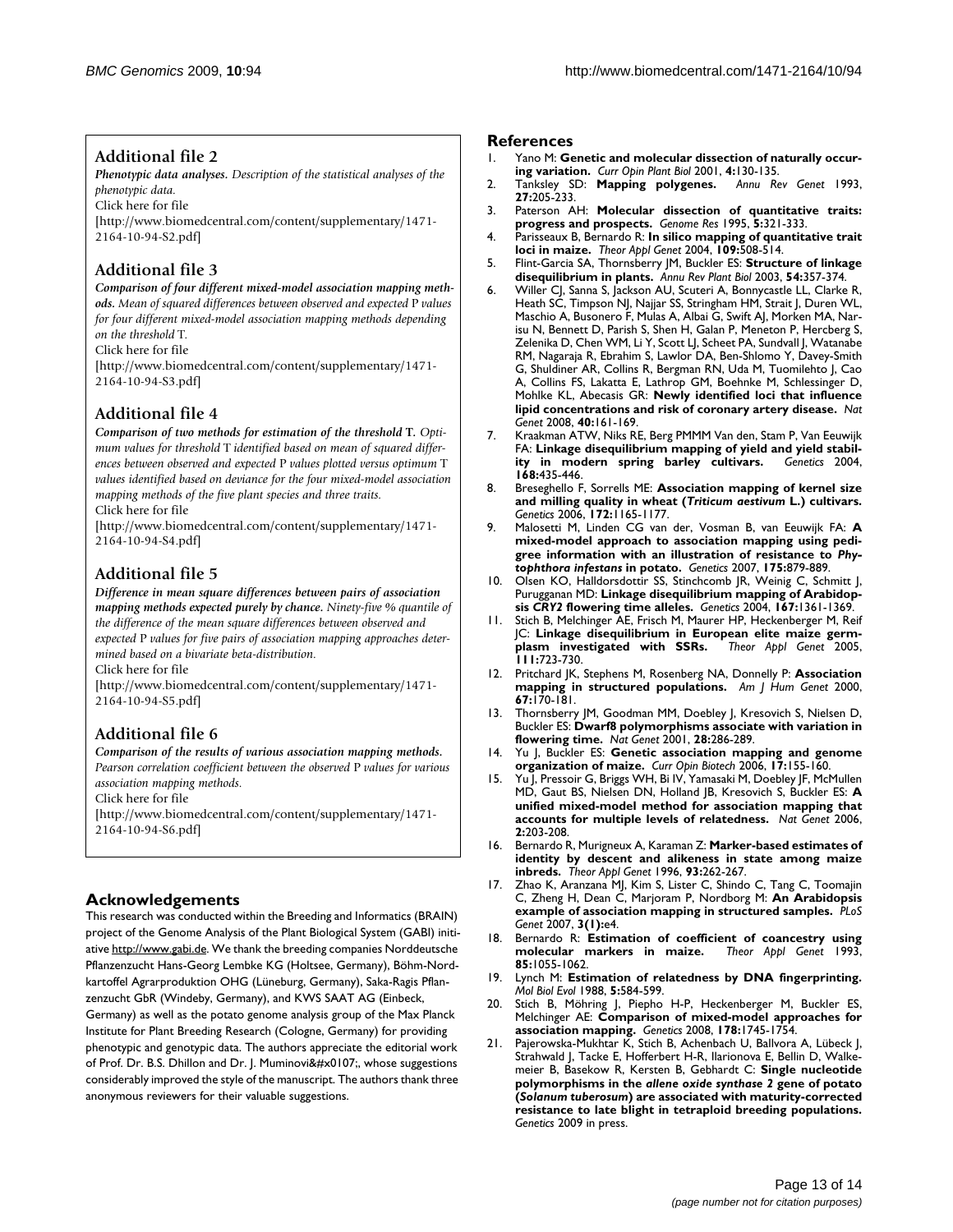# **Additional file 2**

*Phenotypic data analyses. Description of the statistical analyses of the phenotypic data.*

Click here for file

[\[http://www.biomedcentral.com/content/supplementary/1471-](http://www.biomedcentral.com/content/supplementary/1471-2164-10-94-S2.pdf) 2164-10-94-S2.pdf]

# **Additional file 3**

*Comparison of four different mixed-model association mapping methods. Mean of squared differences between observed and expected* P *values for four different mixed-model association mapping methods depending on the threshold* T*.*

Click here for file

[\[http://www.biomedcentral.com/content/supplementary/1471-](http://www.biomedcentral.com/content/supplementary/1471-2164-10-94-S3.pdf) 2164-10-94-S3.pdf]

# **Additional file 4**

*Comparison of two methods for estimation of the threshold* **T***. Optimum values for threshold* T *identified based on mean of squared differences between observed and expected* P *values plotted versus optimum* T *values identified based on deviance for the four mixed-model association mapping methods of the five plant species and three traits.* Click here for file

[\[http://www.biomedcentral.com/content/supplementary/1471-](http://www.biomedcentral.com/content/supplementary/1471-2164-10-94-S4.pdf) 2164-10-94-S4.pdf]

# **Additional file 5**

*Difference in mean square differences between pairs of association mapping methods expected purely by chance. Ninety-five % quantile of the difference of the mean square differences between observed and expected* P *values for five pairs of association mapping approaches determined based on a bivariate beta-distribution.*

Click here for file

[\[http://www.biomedcentral.com/content/supplementary/1471-](http://www.biomedcentral.com/content/supplementary/1471-2164-10-94-S5.pdf) 2164-10-94-S5.pdf]

# **Additional file 6**

*Comparison of the results of various association mapping methods. Pearson correlation coefficient between the observed* P *values for various association mapping methods.*

Click here for file

[\[http://www.biomedcentral.com/content/supplementary/1471-](http://www.biomedcentral.com/content/supplementary/1471-2164-10-94-S6.pdf) 2164-10-94-S6.pdf]

# **Acknowledgements**

This research was conducted within the Breeding and Informatics (BRAIN) project of the Genome Analysis of the Plant Biological System (GABI) initiative [http://www.gabi.de.](http://www.gabi.de) We thank the breeding companies Norddeutsche Pflanzenzucht Hans-Georg Lembke KG (Holtsee, Germany), Böhm-Nordkartoffel Agrarproduktion OHG (Lüneburg, Germany), Saka-Ragis Pflanzenzucht GbR (Windeby, Germany), and KWS SAAT AG (Einbeck, Germany) as well as the potato genome analysis group of the Max Planck Institute for Plant Breeding Research (Cologne, Germany) for providing phenotypic and genotypic data. The authors appreciate the editorial work of Prof. Dr. B.S. Dhillon and Dr. J. Muminović, whose suggestions considerably improved the style of the manuscript. The authors thank three anonymous reviewers for their valuable suggestions.

#### **References**

- 1. Yano M: **[Genetic and molecular dissection of naturally occur-](http://www.ncbi.nlm.nih.gov/entrez/query.fcgi?cmd=Retrieve&db=PubMed&dopt=Abstract&list_uids=11228435)**
- **[ing variation.](http://www.ncbi.nlm.nih.gov/entrez/query.fcgi?cmd=Retrieve&db=PubMed&dopt=Abstract&list_uids=11228435)** *Curr Opin Plant Biol* 2001, **4:**130-135. 2. Tanksley SD: [Mapping polygenes.](http://www.ncbi.nlm.nih.gov/entrez/query.fcgi?cmd=Retrieve&db=PubMed&dopt=Abstract&list_uids=8122902) **27:**205-233.
- 3. Paterson AH: **[Molecular dissection of quantitative traits:](http://www.ncbi.nlm.nih.gov/entrez/query.fcgi?cmd=Retrieve&db=PubMed&dopt=Abstract&list_uids=8750192) [progress and prospects.](http://www.ncbi.nlm.nih.gov/entrez/query.fcgi?cmd=Retrieve&db=PubMed&dopt=Abstract&list_uids=8750192)** *Genome Res* 1995, **5:**321-333.
- 4. Parisseaux B, Bernardo R: **[In silico mapping of quantitative trait](http://www.ncbi.nlm.nih.gov/entrez/query.fcgi?cmd=Retrieve&db=PubMed&dopt=Abstract&list_uids=15150690) [loci in maize.](http://www.ncbi.nlm.nih.gov/entrez/query.fcgi?cmd=Retrieve&db=PubMed&dopt=Abstract&list_uids=15150690)** *Theor Appl Genet* 2004, **109:**508-514.
- 5. Flint-Garcia SA, Thornsberry JM, Buckler ES: **[Structure of linkage](http://www.ncbi.nlm.nih.gov/entrez/query.fcgi?cmd=Retrieve&db=PubMed&dopt=Abstract&list_uids=14502995) [disequilibrium in plants.](http://www.ncbi.nlm.nih.gov/entrez/query.fcgi?cmd=Retrieve&db=PubMed&dopt=Abstract&list_uids=14502995)** *Annu Rev Plant Biol* 2003, **54:**357-374.
- 6. Willer CJ, Sanna S, Jackson AU, Scuteri A, Bonnycastle LL, Clarke R, Heath SC, Timpson NJ, Najjar SS, Stringham HM, Strait J, Duren WL, Maschio A, Busonero F, Mulas A, Albai G, Swift AJ, Morken MA, Narisu N, Bennett D, Parish S, Shen H, Galan P, Meneton P, Hercberg S, Zelenika D, Chen WM, Li Y, Scott LJ, Scheet PA, Sundvall J, Watanabe RM, Nagaraja R, Ebrahim S, Lawlor DA, Ben-Shlomo Y, Davey-Smith G, Shuldiner AR, Collins R, Bergman RN, Uda M, Tuomilehto J, Cao A, Collins FS, Lakatta E, Lathrop GM, Boehnke M, Schlessinger D, Mohlke KL, Abecasis GR: **[Newly identified loci that influence](http://www.ncbi.nlm.nih.gov/entrez/query.fcgi?cmd=Retrieve&db=PubMed&dopt=Abstract&list_uids=18193043) [lipid concentrations and risk of coronary artery disease.](http://www.ncbi.nlm.nih.gov/entrez/query.fcgi?cmd=Retrieve&db=PubMed&dopt=Abstract&list_uids=18193043)** *Nat Genet* 2008, **40:**161-169.
- 7. Kraakman ATW, Niks RE, Berg PMMM Van den, Stam P, Van Eeuwijk FA: **[Linkage disequilibrium mapping of yield and yield stabil](http://www.ncbi.nlm.nih.gov/entrez/query.fcgi?cmd=Retrieve&db=PubMed&dopt=Abstract&list_uids=15454555)**[ity in modern spring barley cultivars.](http://www.ncbi.nlm.nih.gov/entrez/query.fcgi?cmd=Retrieve&db=PubMed&dopt=Abstract&list_uids=15454555) **168:**435-446.
- 8. Breseghello F, Sorrells ME: **Association mapping of kernel size and milling quality in wheat (***Triticum aestivum* **[L.\) cultivars.](http://www.ncbi.nlm.nih.gov/entrez/query.fcgi?cmd=Retrieve&db=PubMed&dopt=Abstract&list_uids=16079235)** *Genetics* 2006, **172:**1165-1177.
- 9. Malosetti M, Linden CG van der, Vosman B, van Eeuwijk FA: **A mixed-model approach to association mapping using pedigree information with an illustration of resistance to** *Phytophthora infestans* **[in potato.](http://www.ncbi.nlm.nih.gov/entrez/query.fcgi?cmd=Retrieve&db=PubMed&dopt=Abstract&list_uids=17151263)** *Genetics* 2007, **175:**879-889.
- 10. Olsen KO, Halldorsdottir SS, Stinchcomb JR, Weinig C, Schmitt J, Purugganan MD: **Linkage disequilibrium mapping of Arabidopsis** *CRY2* **[flowering time alleles.](http://www.ncbi.nlm.nih.gov/entrez/query.fcgi?cmd=Retrieve&db=PubMed&dopt=Abstract&list_uids=15280248)** *Genetics* 2004, **167:**1361-1369.
- 11. Stich B, Melchinger AE, Frisch M, Maurer HP, Heckenberger M, Reif JC: **[Linkage disequilibrium in European elite maize germ](http://www.ncbi.nlm.nih.gov/entrez/query.fcgi?cmd=Retrieve&db=PubMed&dopt=Abstract&list_uids=15997389)**[plasm investigated with SSRs.](http://www.ncbi.nlm.nih.gov/entrez/query.fcgi?cmd=Retrieve&db=PubMed&dopt=Abstract&list_uids=15997389) **111:**723-730.
- 12. Pritchard JK, Stephens M, Rosenberg NA, Donnelly P: **[Association](http://www.ncbi.nlm.nih.gov/entrez/query.fcgi?cmd=Retrieve&db=PubMed&dopt=Abstract&list_uids=10827107) [mapping in structured populations.](http://www.ncbi.nlm.nih.gov/entrez/query.fcgi?cmd=Retrieve&db=PubMed&dopt=Abstract&list_uids=10827107)** *Am J Hum Genet* 2000, **67:**170-181.
- 13. Thornsberry JM, Goodman MM, Doebley J, Kresovich S, Nielsen D, Buckler ES: **[Dwarf8 polymorphisms associate with variation in](http://www.ncbi.nlm.nih.gov/entrez/query.fcgi?cmd=Retrieve&db=PubMed&dopt=Abstract&list_uids=11431702) [flowering time.](http://www.ncbi.nlm.nih.gov/entrez/query.fcgi?cmd=Retrieve&db=PubMed&dopt=Abstract&list_uids=11431702)** *Nat Genet* 2001, **28:**286-289.
- 14. Yu J, Buckler ES: **[Genetic association mapping and genome](http://www.ncbi.nlm.nih.gov/entrez/query.fcgi?cmd=Retrieve&db=PubMed&dopt=Abstract&list_uids=16504497) [organization of maize.](http://www.ncbi.nlm.nih.gov/entrez/query.fcgi?cmd=Retrieve&db=PubMed&dopt=Abstract&list_uids=16504497)** *Curr Opin Biotech* 2006, **17:**155-160.
- 15. Yu J, Pressoir G, Briggs WH, Bi IV, Yamasaki M, Doebley JF, McMullen MD, Gaut BS, Nielsen DN, Holland JB, Kresovich S, Buckler ES: **A unified mixed-model method for association mapping that accounts for multiple levels of relatedness.** *Nat Genet* 2006, **2:**203-208.
- 16. Bernardo R, Murigneux A, Karaman Z: **Marker-based estimates of identity by descent and alikeness in state among maize inbreds.** *Theor Appl Genet* 1996, **93:**262-267.
- 17. Zhao K, Aranzana MJ, Kim S, Lister C, Shindo C, Tang C, Toomajin C, Zheng H, Dean C, Marjoram P, Nordborg M: **[An Arabidopsis](http://www.ncbi.nlm.nih.gov/entrez/query.fcgi?cmd=Retrieve&db=PubMed&dopt=Abstract&list_uids=17238287 ) [example of association mapping in structured samples.](http://www.ncbi.nlm.nih.gov/entrez/query.fcgi?cmd=Retrieve&db=PubMed&dopt=Abstract&list_uids=17238287 )** *PLoS Genet* 2007, **3(1):**e4.
- 18. Bernardo R: **Estimation of coefficient of coancestry using** molecular markers in maize. **85:**1055-1062.
- 19. Lynch M: **[Estimation of relatedness by DNA fingerprinting.](http://www.ncbi.nlm.nih.gov/entrez/query.fcgi?cmd=Retrieve&db=PubMed&dopt=Abstract&list_uids=3193879)** *Mol Biol Evol* 1988, **5:**584-599.
- 20. Stich B, Möhring J, Piepho H-P, Heckenberger M, Buckler ES, Melchinger AE: **[Comparison of mixed-model approaches for](http://www.ncbi.nlm.nih.gov/entrez/query.fcgi?cmd=Retrieve&db=PubMed&dopt=Abstract&list_uids=18245847) [association mapping.](http://www.ncbi.nlm.nih.gov/entrez/query.fcgi?cmd=Retrieve&db=PubMed&dopt=Abstract&list_uids=18245847)** *Genetics* 2008, **178:**1745-1754.
- <span id="page-12-0"></span>21. Pajerowska-Mukhtar K, Stich B, Achenbach U, Ballvora A, Lübeck J, Strahwald J, Tacke E, Hofferbert H-R, Ilarionova E, Bellin D, Walkemeier B, Basekow R, Kersten B, Gebhardt C: **Single nucleotide polymorphisms in the** *allene oxide synthase 2* **gene of potato (***Solanum tuberosum***[\) are associated with maturity-corrected](http://www.ncbi.nlm.nih.gov/entrez/query.fcgi?cmd=Retrieve&db=PubMed&dopt=Abstract&list_uids=19139145) [resistance to late blight in tetraploid breeding populations.](http://www.ncbi.nlm.nih.gov/entrez/query.fcgi?cmd=Retrieve&db=PubMed&dopt=Abstract&list_uids=19139145)** *Genetics* 2009 in press.